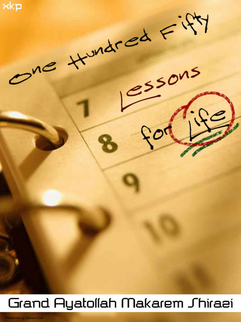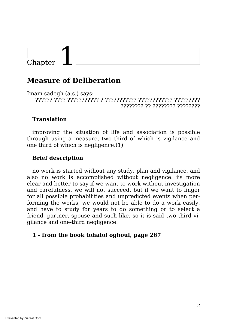## **Measure of Deliberation**

Imam sadegh (a.s.) says: ?????? ???? ??????????? ? ??????????? ???????????? ????????? ???????? ?? ???????? ????????

## **Translation**

improving the situation of life and association is possible through using a measure, two third of which is vigilance and one third of which is negligence.(1)

## **Brief description**

no work is started without any study, plan and vigilance, and also no work is accomplished without negligence. iis more clear and better to say if we want to work without investigation and carefulness, we will not succeed. but if we want to linger for all possible probabilities and unpredicted events when performing the works, we would not be able to do a work easily, and have to study for years to do something or to select a friend, partner, spouse and such like. so it is said two third vigilance and one-third negligence.

#### **1 - from the book tohafol oghoul, page 267**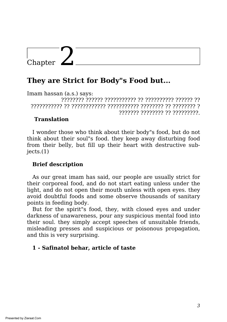## **They are Strict for Body"s Food but...**

Imam hassan (a.s.) says: ???????? ?????? ??????????? ?? ?????????? ?????? ?? ??????????? ?? ???????????? ??????????? ???????? ?? ???????? ? ??????? ???????? ?? ?????????.

## **Translation**

I wonder those who think about their body"s food, but do not think about their soul"s food. they keep away disturbing food from their belly, but fill up their heart with destructive sub $jects.(1)$ 

## **Brief description**

As our great imam has said, our people are usually strict for their corporeal food, and do not start eating unless under the light, and do not open their mouth unless with open eyes. they avoid doubtful foods and some observe thousands of sanitary points in feeding body.

But for the spirit"s food, they, with closed eyes and under darkness of unawareness, pour any suspicious mental food into their soul. they simply accept speeches of unsuitable friends, misleading presses and suspicious or poisonous propagation, and this is very surprising.

## **1 - Safinatol behar, article of taste**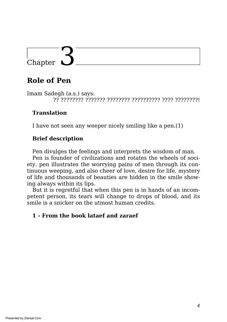## **Role of Pen**

Imam Sadegh (a.s.) says: ?? ???????? ??????? ???????? ?????????? ???? ????????!

## **Translation**

I have not seen any weeper nicely smiling like a pen.(1)

## **Brief description**

Pen divulges the feelings and interprets the wisdom of man.

Pen is founder of civilizations and rotates the wheels of society. pen illustrates the worrying pains of men through its continuous weeping, and also cheer of love, desire for life, mystery of life and thousands of beauties are hidden in the smile showing always within its lips.

But it is regretful that when this pen is in hands of an incompetent person, its tears will change to drops of blood, and its smile is a snicker on the utmost human credits.

## **1 - From the book lataef and zaraef**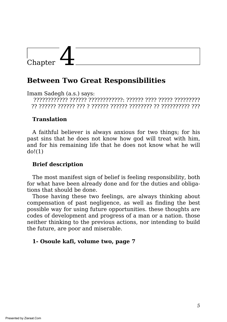## **Between Two Great Responsibilities**

Imam Sadegh (a.s.) says:

???????????? ?????? ????????????: ?????? ???? ????? ????????? ?? ?????? ?????? ??? ? ?????? ?????? ???????? ?? ?????????? ???

## **Translation**

A faithful believer is always anxious for two things; for his past sins that he does not know how god will treat with him, and for his remaining life that he does not know what he will  $do!(1)$ 

### **Brief description**

The most manifest sign of belief is feeling responsibility, both for what have been already done and for the duties and obligations that should be done.

Those having these two feelings, are always thinking about compensation of past negligence, as well as finding the best possible way for using future opportunities. these thoughts are codes of development and progress of a man or a nation. those neither thinking to the previous actions, nor intending to build the future, are poor and miserable.

#### **1- Osoule kafi, volume two, page 7**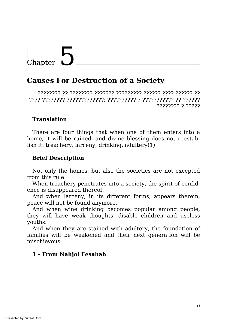## **Causes For Destruction of a Society**

???????? ?? ???????? ??????? ????????? ?????? ???? ?????? ?? ???? ???????? ?????????????: ?????????? ? ??????????? ?? ?????? ???????? ? ?????

## **Translation**

There are four things that when one of them enters into a home, it will be ruined, and divine blessing does not reestablish it: treachery, larceny, drinking, adultery(1)

## **Brief Description**

Not only the homes, but also the societies are not excepted from this rule.

When treachery penetrates into a society, the spirit of confidence is disappeared thereof.

And when larceny, in its different forms, appears therein, peace will not be found anymore.

And when wine drinking becomes popular among people, they will have weak thoughts, disable children and useless youths.

And when they are stained with adultery, the foundation of families will be weakened and their next generation will be mischievous.

## **1 - From Nahjol Fesahah**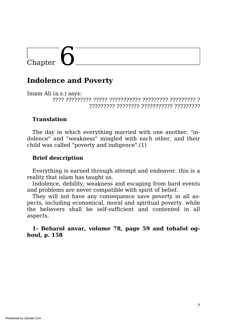## **Indolence and Poverty**

Imam Ali (a.s.) says: ???? ????????? ????? ??????????? ????????? ????????? ? ????????? ???????? ??????????? ?????????

### **Translation**

The day in which everything married with one another, "indolence" and "weakness" mingled with each other, and their child was called "poverty and indigence".(1)

#### **Brief description**

Everything is earned through attempt and endeavor. this is a reality that islam has taught us.

Indolence, debility, weakness and escaping from hard events and problems are never compatible with spirit of belief.

They will not have any consequence save poverty in all aspects, including economical, moral and spiritual poverty. while the believers shall be self-sufficient and contented in all aspects.

**1- Beharol anvar, volume 78, page 59 and tohafol oghoul, p. 158**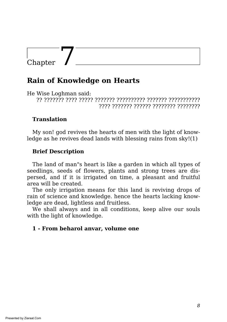## **Rain of Knowledge on Hearts**

He Wise Loghman said:

?? ??????? ???? ????? ??????? ?????????? ??????? ??????????? ???? ??????? ?????? ???????? ????????

#### **Translation**

My son! god revives the hearts of men with the light of knowledge as he revives dead lands with blessing rains from sky!(1)

## **Brief Description**

The land of man"s heart is like a garden in which all types of seedlings, seeds of flowers, plants and strong trees are dispersed, and if it is irrigated on time, a pleasant and fruitful area will be created.

The only irrigation means for this land is reviving drops of rain of science and knowledge. hence the hearts lacking knowledge are dead, lightless and fruitless.

We shall always and in all conditions, keep alive our souls with the light of knowledge.

#### **1 - From beharol anvar, volume one**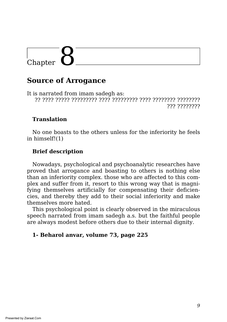## **Source of Arrogance**

It is narrated from imam sadegh as: ?? ???? ????? ????????? ???? ????????? ???? ???????? ???????? ????????????

## **Translation**

No one boasts to the others unless for the inferiority he feels in himself!(1)

## **Brief description**

Nowadays, psychological and psychoanalytic researches have proved that arrogance and boasting to others is nothing else than an inferiority complex. those who are affected to this complex and suffer from it, resort to this wrong way that is magnifying themselves artificially for compensating their deficiencies, and thereby they add to their social inferiority and make themselves more hated.

This psychological point is clearly observed in the miraculous speech narrated from imam sadegh a.s. but the faithful people are always modest before others due to their internal dignity.

#### **1- Beharol anvar, volume 73, page 225**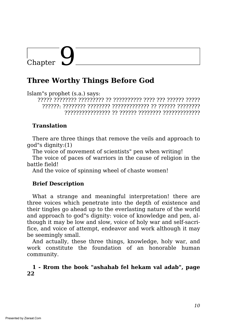## **Three Worthy Things Before God**

Islam"s prophet (s.a.) says:

????? ???????? ????????? ?? ?????????? ???? ??? ?????? ????? ??????: ???????? ???????? ????????????? ?? ?????? ???????? ???????????????? ?? ?????? ???????? ?????????????

## **Translation**

There are three things that remove the veils and approach to god"s dignity:(1)

The voice of movement of scientists" pen when writing!

The voice of paces of warriors in the cause of religion in the battle field!

And the voice of spinning wheel of chaste women!

## **Brief Description**

What a strange and meaningful interpretation! there are three voices which penetrate into the depth of existence and their tingles go ahead up to the everlasting nature of the world and approach to god"s dignity: voice of knowledge and pen, although it may be low and slow, voice of holy war and self-sacrifice, and voice of attempt, endeavor and work although it may be seemingly small.

And actually, these three things, knowledge, holy war, and work constitute the foundation of an honorable human community.

## **1 - Rrom the book "ashahab fel hekam val adab", page 22**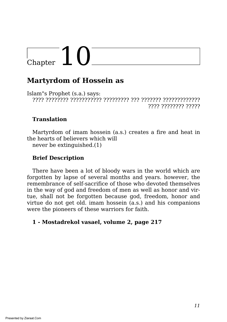# $\frac{1}{2}$ Chapter  $10^{-7}$

## **Martyrdom of Hossein as**

Islam"s Prophet (s.a.) says: ???? ???????? ??????????? ????????? ??? ??????? ????????????? ???? ???????? ?????

## **Translation**

Martyrdom of imam hossein (a.s.) creates a fire and heat in the hearts of believers which will

never be extinguished.(1)

## **Brief Description**

There have been a lot of bloody wars in the world which are forgotten by lapse of several months and years. however, the remembrance of self-sacrifice of those who devoted themselves in the way of god and freedom of men as well as honor and virtue, shall not be forgotten because god, freedom, honor and virtue do not get old. imam hossein (a.s.) and his companions were the pioneers of these warriors for faith.

## **1 - Mostadrekol vasael, volume 2, page 217**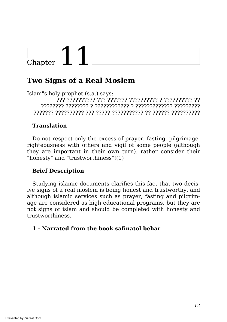## $\frac{1}{2}$  Chapter  $11$

## **Two Signs of a Real Moslem**

Islam"s holy prophet (s.a.) says: ??? ?????????? ??? ??????? ?????????? ? ?????????? ?? ???????? ???????? ? ???????????? ? ????????????? ????????? ??????? ?????????? ??? ????? ??????????? ?? ?????? ??????????

## **Translation**

Do not respect only the excess of prayer, fasting, pilgrimage, righteousness with others and vigil of some people (although they are important in their own turn). rather consider their "honesty" and "trustworthiness"!(1)

## **Brief Description**

Studying islamic documents clarifies this fact that two decisive signs of a real moslem is being honest and trustworthy, and although islamic services such as prayer, fasting and pilgrimage are considered as high educational programs, but they are not signs of islam and should be completed with honesty and trustworthiness.

## **1 - Narrated from the book safinatol behar**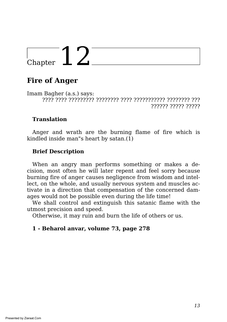## Chapter  $12^{-}$

## **Fire of Anger**

Imam Bagher (a.s.) says: ???? ???? ????????? ???????? ???? ??????????? ???????? ??? ?????? ????? ?????

### **Translation**

Anger and wrath are the burning flame of fire which is kindled inside man"s heart by satan.(1)

## **Brief Description**

When an angry man performs something or makes a decision, most often he will later repent and feel sorry because burning fire of anger causes negligence from wisdom and intellect, on the whole, and usually nervous system and muscles activate in a direction that compensation of the concerned damages would not be possible even during the life time!

We shall control and extinguish this satanic flame with the utmost precision and speed.

Otherwise, it may ruin and burn the life of others or us.

#### **1 - Beharol anvar, volume 73, page 278**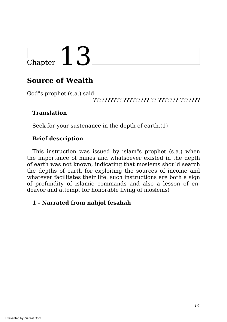## **Source of Wealth**

God"s prophet (s.a.) said:

?????????? ????????? ?? ??????? ???????

## **Translation**

Seek for your sustenance in the depth of earth.(1)

## **Brief description**

This instruction was issued by islam"s prophet (s.a.) when the importance of mines and whatsoever existed in the depth of earth was not known, indicating that moslems should search the depths of earth for exploiting the sources of income and whatever facilitates their life. such instructions are both a sign of profundity of islamic commands and also a lesson of endeavor and attempt for honorable living of moslems!

## **1 - Narrated from nahjol fesahah**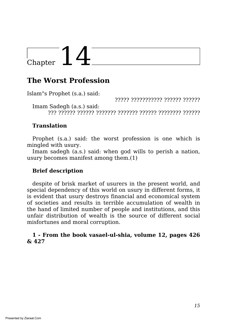## $\frac{1}{2}$  Chapter  $14$

## **The Worst Profession**

Islam"s Prophet (s.a.) said:

????? ??????????? ?????? ??????

Imam Sadegh (a.s.) said: ??? ?????? ?????? ??????? ??????? ?????? ???????? ??????

## **Translation**

Prophet (s.a.) said: the worst profession is one which is mingled with usury.

Imam sadegh (a.s.) said: when god wills to perish a nation, usury becomes manifest among them.(1)

## **Brief description**

despite of brisk market of usurers in the present world, and special dependency of this world on usury in different forms, it is evident that usury destroys financial and economical system of societies and results in terrible accumulation of wealth in the hand of limited number of people and institutions, and this unfair distribution of wealth is the source of different social misfortunes and moral corruption.

#### **1 - From the book vasael-ul-shia, volume 12, pages 426 & 427**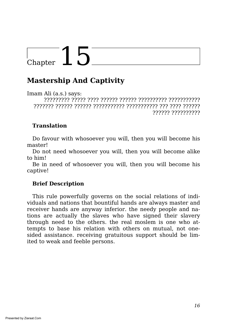## **Mastership And Captivity**

Imam Ali (a.s.) says: ????????? ????? ???? ?????? ?????? ?????????? ??????????? ??????? ?????? ?????? ??????????? ??????????? ??? ???? ?????? ?????? ??????????

## **Translation**

Do favour with whosoever you will, then you will become his master!

Do not need whosoever you will, then you will become alike to him!

Be in need of whosoever you will, then you will become his captive!

## **Brief Description**

This rule powerfully governs on the social relations of individuals and nations that bountiful hands are always master and receiver hands are anyway inferior. the needy people and nations are actually the slaves who have signed their slavery through need to the others. the real moslem is one who attempts to base his relation with others on mutual, not onesided assistance. receiving gratuitous support should be limited to weak and feeble persons.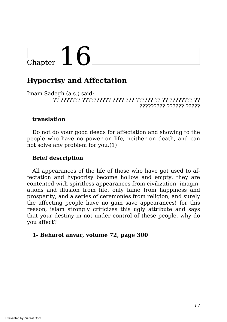# $\frac{1}{2}$ Chapter 16

## **Hypocrisy and Affectation**

Imam Sadegh (a.s.) said: ?? ??????? ?????????? ???? ??? ?????? ?? ?? ???????? ?? ????????? ?????? ?????

#### **translation**

Do not do your good deeds for affectation and showing to the people who have no power on life, neither on death, and can not solve any problem for you.(1)

## **Brief description**

All appearances of the life of those who have got used to affectation and hypocrisy become hollow and empty. they are contented with spiritless appearances from civilization, imaginations and illusion from life, only fame from happiness and prosperity, and a series of ceremonies from religion, and surely the affecting people have no gain save appearances! for this reason, islam strongly criticizes this ugly attribute and says that your destiny in not under control of these people, why do you affect?

#### **1- Beharol anvar, volume 72, page 300**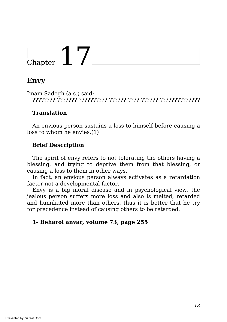## Chapter  $17^-$

## **Envy**

Imam Sadegh (a.s.) said: ???????? ??????? ?????????? ?????? ???? ?????? ??????????????

## **Translation**

An envious person sustains a loss to himself before causing a loss to whom he envies.(1)

## **Brief Description**

The spirit of envy refers to not tolerating the others having a blessing, and trying to deprive them from that blessing, or causing a loss to them in other ways.

In fact, an envious person always activates as a retardation factor not a developmental factor.

Envy is a big moral disease and in psychological view, the jealous person suffers more loss and also is melted, retarded and humiliated more than others. thus it is better that he try for precedence instead of causing others to be retarded.

## **1- Beharol anvar, volume 73, page 255**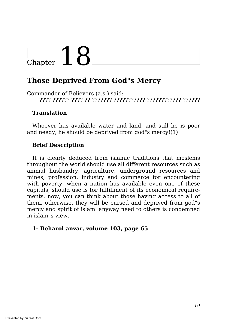## $\Gamma_{\text{Chapter}}$  18

## **Those Deprived From God"s Mercy**

Commander of Believers (a.s.) said: ???? ?????? ???? ?? ??????? ??????????? ???????????? ??????

### **Translation**

Whoever has available water and land, and still he is poor and needy, he should be deprived from god"s mercy!(1)

## **Brief Description**

It is clearly deduced from islamic traditions that moslems throughout the world should use all different resources such as animal husbandry, agriculture, underground resources and mines, profession, industry and commerce for encountering with poverty. when a nation has available even one of these capitals, should use is for fulfillment of its economical requirements. now, you can think about those having access to all of them. otherwise, they will be cursed and deprived from god"s mercy and spirit of islam. anyway need to others is condemned in islam"s view.

#### **1- Beharol anvar, volume 103, page 65**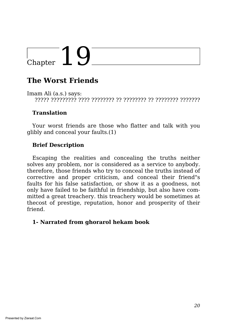## $\frac{1}{2}$  Chapter  $10$

## **The Worst Friends**

Imam Ali (a.s.) says: ????? ????????? ???? ???????? ?? ???????? ?? ???????? ???????

### **Translation**

Your worst friends are those who flatter and talk with you glibly and conceal your faults.(1)

## **Brief Description**

Escaping the realities and concealing the truths neither solves any problem, nor is considered as a service to anybody. therefore, those friends who try to conceal the truths instead of corrective and proper criticism, and conceal their friend"s faults for his false satisfaction, or show it as a goodness, not only have failed to be faithful in friendship, but also have committed a great treachery. this treachery would be sometimes at thecost of prestige, reputation, honor and prosperity of their friend.

## **1- Narrated from ghorarol hekam book**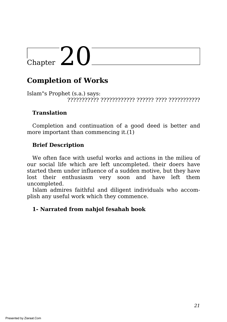# $\frac{1}{2}$ Chapter 20

## **Completion of Works**

Islam"s Prophet (s.a.) says: ??????????? ???????????? ?????? ???? ???????????

#### **Translation**

Completion and continuation of a good deed is better and more important than commencing it.(1)

### **Brief Description**

We often face with useful works and actions in the milieu of our social life which are left uncompleted. their doers have started them under influence of a sudden motive, but they have lost their enthusiasm very soon and have left them uncompleted.

Islam admires faithful and diligent individuals who accomplish any useful work which they commence.

#### **1- Narrated from nahjol fesahah book**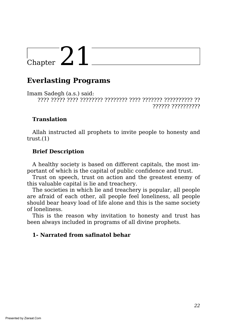## **Everlasting Programs**

Imam Sadegh (a.s.) said: ???? ????? ???? ???????? ???????? ???? ??????? ?????????? ?? ?????? ??????????

### **Translation**

Allah instructed all prophets to invite people to honesty and  $trust.(1)$ 

## **Brief Description**

A healthy society is based on different capitals, the most important of which is the capital of public confidence and trust.

Trust on speech, trust on action and the greatest enemy of this valuable capital is lie and treachery.

The societies in which lie and treachery is popular, all people are afraid of each other, all people feel loneliness, all people should bear heavy load of life alone and this is the same society of loneliness.

This is the reason why invitation to honesty and trust has been always included in programs of all divine prophets.

#### **1- Narrated from safinatol behar**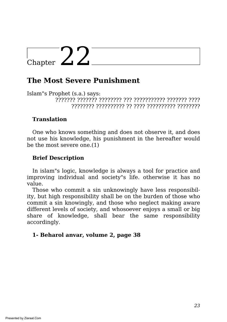## **The Most Severe Punishment**

Islam"s Prophet (s.a.) says: ??????? ??????? ???????? ??? ??????????? ??????? ???? ???????? ?????????? ?? ???? ?????????? ????????

## **Translation**

One who knows something and does not observe it, and does not use his knowledge, his punishment in the hereafter would be the most severe one.(1)

### **Brief Description**

In islam"s logic, knowledge is always a tool for practice and improving individual and society"s life. otherwise it has no value.

Those who commit a sin unknowingly have less responsibility, but high responsibility shall be on the burden of those who commit a sin knowingly, and those who neglect making aware different levels of society, and whosoever enjoys a small or big share of knowledge, shall bear the same responsibility accordingly.

#### **1- Beharol anvar, volume 2, page 38**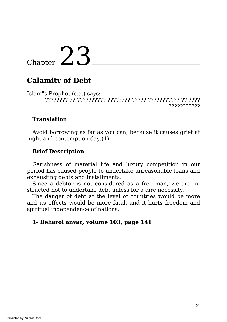## **Calamity of Debt**

Islam"s Prophet (s.a.) says: ???????? ?? ?????????? ???????? ????? ??????????? ?? ???? ???????????

## **Translation**

Avoid borrowing as far as you can, because it causes grief at night and contempt on day.(1)

## **Brief Description**

Garishness of material life and luxury competition in our period has caused people to undertake unreasonable loans and exhausting debts and installments.

Since a debtor is not considered as a free man, we are instructed not to undertake debt unless for a dire necessity.

The danger of debt at the level of countries would be more and its effects would be more fatal, and it hurts freedom and spiritual independence of nations.

## **1- Beharol anvar, volume 103, page 141**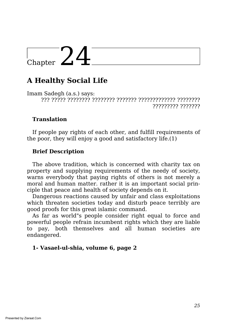## $\frac{1}{2}$ Chapter 24

## **A Healthy Social Life**

Imam Sadegh (a.s.) says: ??? ????? ???????? ???????? ??????? ????????????? ???????? ????????? ???????

### **Translation**

If people pay rights of each other, and fulfill requirements of the poor, they will enjoy a good and satisfactory life.(1)

### **Brief Description**

The above tradition, which is concerned with charity tax on property and supplying requirements of the needy of society, warns everybody that paying rights of others is not merely a moral and human matter. rather it is an important social principle that peace and health of society depends on it.

Dangerous reactions caused by unfair and class exploitations which threaten societies today and disturb peace terribly are good proofs for this great islamic command.

As far as world"s people consider right equal to force and powerful people refrain incumbent rights which they are liable to pay, both themselves and all human societies are endangered.

#### **1- Vasael-ul-shia, volume 6, page 2**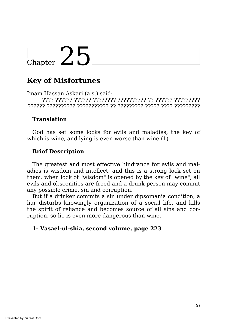## **Key of Misfortunes**

Imam Hassan Askari (a.s.) said: ???? ?????? ?????? ???????? ?????????? ?? ?????? ????????? ?????? ?????????? ??????????? ?? ????????? ????? ???? ?????????

### **Translation**

God has set some locks for evils and maladies, the key of which is wine, and lying is even worse than wine.(1)

## **Brief Description**

The greatest and most effective hindrance for evils and maladies is wisdom and intellect, and this is a strong lock set on them. when lock of "wisdom" is opened by the key of "wine", all evils and obscenities are freed and a drunk person may commit any possible crime, sin and corruption.

But if a drinker commits a sin under dipsomania condition, a liar disturbs knowingly organization of a social life, and kills the spirit of reliance and becomes source of all sins and corruption. so lie is even more dangerous than wine.

#### **1- Vasael-ul-shia, second volume, page 223**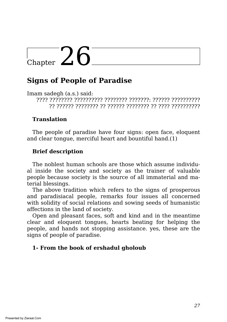## $\frac{1}{\text{Chapter 26}}$

## **Signs of People of Paradise**

Imam sadegh (a.s.) said:

???? ???????? ?????????? ???????? ???????: ?????? ?????????? ?? ?????? ???????? ?? ?????? ???????? ?? ???? ??????????

## **Translation**

The people of paradise have four signs: open face, eloquent and clear tongue, merciful heart and bountiful hand.(1)

## **Brief description**

The noblest human schools are those which assume individual inside the society and society as the trainer of valuable people because society is the source of all immaterial and material blessings.

The above tradition which refers to the signs of prosperous and paradisiacal people, remarks four issues all concerned with solidity of social relations and sowing seeds of humanistic affections in the land of society.

Open and pleasant faces, soft and kind and in the meantime clear and eloquent tongues, hearts beating for helping the people, and hands not stopping assistance. yes, these are the signs of people of paradise.

## **1- From the book of ershadul gholoub**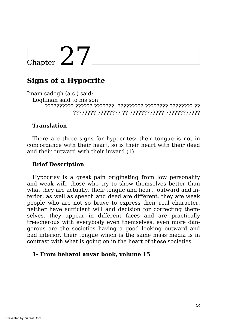## Chapter  $27^-$

## **Signs of a Hypocrite**

Imam sadegh (a.s.) said: Loghman said to his son: ?????????? ?????? ???????: ????????? ???????? ???????? ?? ???????? ???????? ?? ???????????? ????????????

## **Translation**

There are three signs for hypocrites: their tongue is not in concordance with their heart, so is their heart with their deed and their outward with their inward.(1)

#### **Brief Description**

Hypocrisy is a great pain originating from low personality and weak will. those who try to show themselves better than what they are actually, their tongue and heart, outward and interior, as well as speech and deed are different. they are weak people who are not so brave to express their real character, neither have sufficient will and decision for correcting themselves. they appear in different faces and are practically treacherous with everybody even themselves. even more dangerous are the societies having a good looking outward and bad interior. their tongue which is the same mass media is in contrast with what is going on in the heart of these societies.

#### **1- From beharol anvar book, volume 15**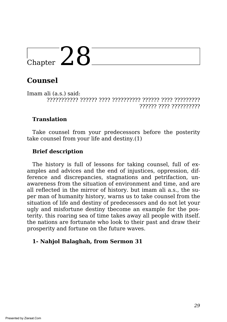## **Counsel**

Imam ali (a.s.) said: ??????????? ?????? ???? ?????????? ?????? ???? ????????? ?????? ???? ??????????

## **Translation**

Take counsel from your predecessors before the posterity take counsel from your life and destiny.(1)

## **Brief description**

The history is full of lessons for taking counsel, full of examples and advices and the end of injustices, oppression, difference and discrepancies, stagnations and petrifaction, unawareness from the situation of environment and time, and are all reflected in the mirror of history. but imam ali a.s., the super man of humanity history, warns us to take counsel from the situation of life and destiny of predecessors and do not let your ugly and misfortune destiny tbecome an example for the posterity. this roaring sea of time takes away all people with itself. the nations are fortunate who look to their past and draw their prosperity and fortune on the future waves.

#### **1- Nahjol Balaghah, from Sermon 31**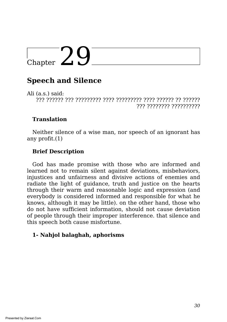## $\sum_{\text{Chapter}}$

## **Speech and Silence**

Ali (a.s.) said: ??? ?????? ??? ????????? ???? ????????? ???? ?????? ?? ?????? ??? ???????? ??????????

## **Translation**

Neither silence of a wise man, nor speech of an ignorant has any profit.(1)

## **Brief Description**

God has made promise with those who are informed and learned not to remain silent against deviations, misbehaviors, injustices and unfairness and divisive actions of enemies and radiate the light of guidance, truth and justice on the hearts through their warm and reasonable logic and expression (and everybody is considered informed and responsible for what he knows, although it may be little). on the other hand, those who do not have sufficient information, should not cause deviation of people through their improper interference. that silence and this speech both cause misfortune.

## **1- Nahjol balaghah, aphorisms**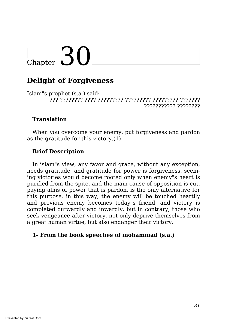# $\overline{\text{Chapter 30}}$

## **Delight of Forgiveness**

Islam"s prophet (s.a.) said: ??? ???????? ???? ????????? ????????? ????????? ??????? ??????????? ????????

### **Translation**

When you overcome your enemy, put forgiveness and pardon as the gratitude for this victory.(1)

### **Brief Description**

In islam"s view, any favor and grace, without any exception, needs gratitude, and gratitude for power is forgiveness. seeming victories would become rooted only when enemy"s heart is purified from the spite, and the main cause of opposition is cut. paying alms of power that is pardon, is the only alternative for this purpose. in this way, the enemy will be touched heartily and previous enemy becomes today"s friend, and victory is completed outwardly and inwardly. but in contrary, those who seek vengeance after victory, not only deprive themselves from a great human virtue, but also endanger their victory.

#### **1- From the book speeches of mohammad (s.a.)**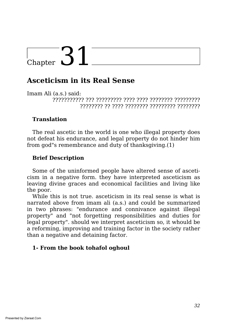## **Asceticism in its Real Sense**

Imam Ali (a.s.) said:

??????????? ??? ????????? ???? ???? ???????? ????????? ???????? ?? ???? ???????? ????????? ????????

## **Translation**

The real ascetic in the world is one who illegal property does not defeat his endurance, and legal property do not hinder him from god"s remembrance and duty of thanksgiving.(1)

## **Brief Description**

Some of the uninformed people have altered sense of asceticism in a negative form. they have interpreted asceticism as leaving divine graces and economical facilities and living like the poor.

While this is not true. asceticism in its real sense is what is narrated above from imam ali (a.s.) and could be summarized in two phrases: "endurance and connivance against illegal property" and "not forgetting responsibilities and duties for legal property". should we interpret asceticism so, it whould be a reforming, improving and training factor in the society rather than a negative and detaining factor.

## **1- From the book tohafol oghoul**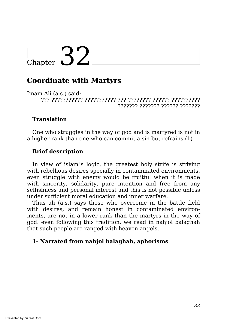## **Coordinate with Martyrs**

Imam Ali (a.s.) said: ??? ??????????? ??????????? ??? ???????? ?????? ?????????? ??????? ??????? ?????? ???????

### **Translation**

One who struggles in the way of god and is martyred is not in a higher rank than one who can commit a sin but refrains.(1)

## **Brief description**

In view of islam"s logic, the greatest holy strife is striving with rebellious desires specially in contaminated environments. even struggle with enemy would be fruitful when it is made with sincerity, solidarity, pure intention and free from any selfishness and personal interest and this is not possible unless under sufficient moral education and inner warfare.

Thus ali (a.s.) says those who overcome in the battle field with desires, and remain honest in contaminated environments, are not in a lower rank than the martyrs in the way of god. even following this tradition, we read in nahjol balaghah that such people are ranged with heaven angels.

#### **1- Narrated from nahjol balaghah, aphorisms**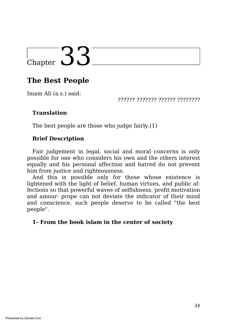## **The Best People**

Imam Ali (a.s.) said:

?????? ??????? ?????? ????????

## **Translation**

The best people are those who judge fairly.(1)

## **Brief Description**

Fair judgement in legal, social and moral concerns is only possible for one who considers his own and the others interest equally and his personal affection and hatred do not prevent him from justice and righteousness.

And this is possible only for those whose existence is lightened with the light of belief, human virtues, and public affections so that powerful waves of selfishness, profit motivation and amour- prope can not deviate the indicator of their mind and conscience. such people deserve to be called "the best people".

## **1- From the book islam in the center of society**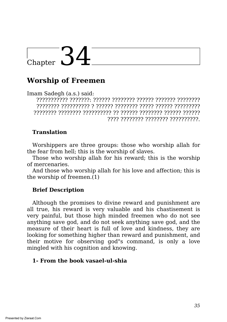# $\frac{1}{\text{Chapter 34}}$

## **Worship of Freemen**

Imam Sadegh (a.s.) said:

??????????? ???????: ?????? ???????? ?????? ??????? ???????? ???????? ?????????? ? ?????? ???????? ????? ?????? ????????? ???????? ???????? ?????????? ?? ?????? ???????? ?????? ?????? ???? ???????? ???????? ??????????.

## **Translation**

Worshippers are three groups: those who worship allah for the fear from hell; this is the worship of slaves.

Those who worship allah for his reward; this is the worship of mercenaries.

And those who worship allah for his love and affection; this is the worship of freemen.(1)

## **Brief Description**

Although the promises to divine reward and punishment are all true, his reward is very valuable and his chastisement is very painful, but those high minded freemen who do not see anything save god, and do not seek anything save god, and the measure of their heart is full of love and kindness, they are looking for something higher than reward and punishment, and their motive for observing god"s command, is only a love mingled with his cognition and knowing.

#### **1- From the book vasael-ul-shia**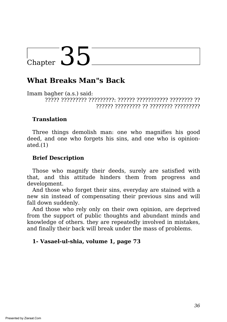## $\overline{C_{\text{hapter}}}$  35

## **What Breaks Man"s Back**

Imam bagher (a.s.) said: ????? ????????? ?????????: ?????? ??????????? ???????? ?? ?????? ????????? ?? ???????? ?????????

#### **Translation**

Three things demolish man: one who magnifies his good deed, and one who forgets his sins, and one who is opinionated.(1)

#### **Brief Description**

Those who magnify their deeds, surely are satisfied with that, and this attitude hinders them from progress and development.

And those who forget their sins, everyday are stained with a new sin instead of compensating their previous sins and will fall down suddenly.

And those who rely only on their own opinion, are deprived from the support of public thoughts and abundant minds and knowledge of others. they are repeatedly involved in mistakes, and finally their back will break under the mass of problems.

#### **1- Vasael-ul-shia, volume 1, page 73**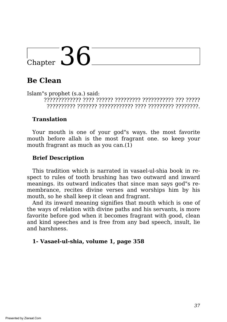## **Be Clean**

Islam"s prophet (s.a.) said: ????????????? ???? ?????? ????????? ??????????? ??? ????? ?????????? ??????? ???????????? ???? ????????? ????????.

#### **Translation**

Your mouth is one of your god"s ways. the most favorite mouth before allah is the most fragrant one. so keep your mouth fragrant as much as you can.(1)

#### **Brief Description**

This tradition which is narrated in vasael-ul-shia book in respect to rules of tooth brushing has two outward and inward meanings. its outward indicates that since man says god"s remembrance, recites divine verses and worships him by his mouth, so he shall keep it clean and fragrant.

And its inward meaning signifies that mouth which is one of the ways of relation with divine paths and his servants, is more favorite before god when it becomes fragrant with good, clean and kind speeches and is free from any bad speech, insult, lie and harshness.

#### **1- Vasael-ul-shia, volume 1, page 358**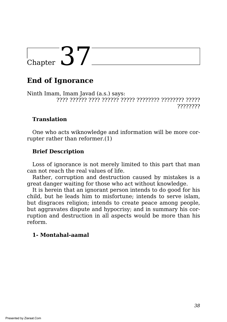## Chapter  $37^-$

## **End of Ignorance**

Ninth Imam, Imam Javad (a.s.) says: ???? ?????? ???? ?????? ????? ???????? ???????? ????? ????????

#### **Translation**

One who acts wiknowledge and information will be more corrupter rather than reformer.(1)

#### **Brief Description**

Loss of ignorance is not merely limited to this part that man can not reach the real values of life.

Rather, corruption and destruction caused by mistakes is a great danger waiting for those who act without knowledge.

It is herein that an ignorant person intends to do good for his child, but he leads him to misfortune; intends to serve islam, but disgraces religion; intends to create peace among people, but aggravates dispute and hypocrisy; and in summary his corruption and destruction in all aspects would be more than his reform.

#### **1- Montahal-aamal**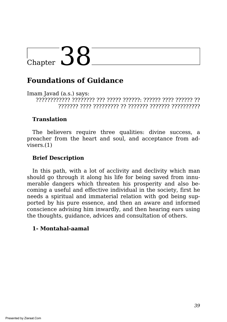### **Foundations of Guidance**

Imam Javad (a.s.) says: ???????????? ???????? ??? ????? ??????: ?????? ???? ?????? ?? ??????? ???? ????????? ?? ??????? ??????? ??????????

#### **Translation**

The believers require three qualities: divine success, a preacher from the heart and soul, and acceptance from advisers.(1)

#### **Brief Description**

In this path, with a lot of acclivity and declivity which man should go through it along his life for being saved from innumerable dangers which threaten his prosperity and also becoming a useful and effective individual in the society, first he needs a spiritual and immaterial relation with god being supported by his pure essence, and then an aware and informed conscience advising him inwardly, and then hearing ears using the thoughts, guidance, advices and consultation of others.

#### **1- Montahal-aamal**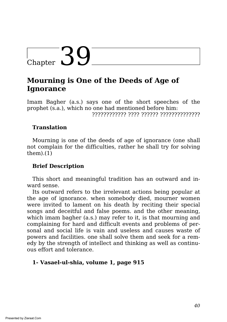# $\frac{1}{2}$ Chapter 39

## **Mourning is One of the Deeds of Age of Ignorance**

Imam Bagher (a.s.) says one of the short speeches of the prophet (s.a.), which no one had mentioned before him: ???????????? ???? ?????? ??????????????

#### **Translation**

Mourning is one of the deeds of age of ignorance (one shall not complain for the difficulties, rather he shall try for solving  $them)(1)$ 

#### **Brief Description**

This short and meaningful tradition has an outward and inward sense.

Its outward refers to the irrelevant actions being popular at the age of ignorance. when somebody died, mourner women were invited to lament on his death by reciting their special songs and deceitful and false poems. and the other meaning, which imam bagher (a.s.) may refer to it, is that mourning and complaining for hard and difficult events and problems of personal and social life is vain and useless and causes waste of powers and facilities. one shall solve them and seek for a remedy by the strength of intellect and thinking as well as continuous effort and tolerance.

#### **1- Vasael-ul-shia, volume 1, page 915**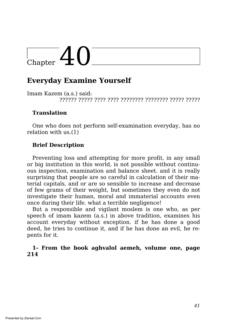### **Everyday Examine Yourself**

Imam Kazem (a.s.) said: ?????? ????? ???? ???? ???????? ???????? ????? ?????

#### **Translation**

One who does not perform self-examination everyday, has no relation with us.(1)

#### **Brief Description**

Preventing loss and attempting for more profit, in any small or big institution in this world, is not possible without continuous inspection, examination and balance sheet. and it is really surprising that people are so careful in calculation of their material capitals, and or are so sensible to increase and decrease of few grams of their weight, but sometimes they even do not investigate their human, moral and immaterial accounts even once during their life. what a terrible negligence!

But a responsible and vigilant moslem is one who, as per speech of imam kazem (a.s.) in above tradition, examines his account everyday without exception. if he has done a good deed, he tries to continue it, and if he has done an evil, he repents for it.

#### **1- From the book aghvalol aemeh, volume one, page 214**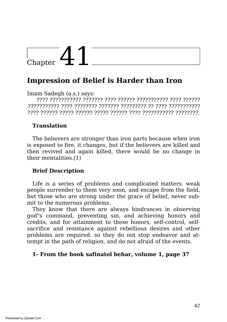## $\frac{1}{\text{Chapter 41}}$

## **Impression of Belief is Harder than Iron**

Imam Sadegh (a.s.) says:

???? ??????????? ??????? ???? ?????? ??????????? ???? ?????? ??????????? ???? ???????? ??????? ????????? ?? ???? ??????????? ???? ?????? ????? ?????? ????? ?????? ???? ??????????? ????????.

#### **Translation**

The believers are stronger than iron parts because when iron is exposed to fire, it changes, but if the believers are killed and then revived and again killed, there would be no change in their mentalities.(1)

#### **Brief Description**

Life is a series of problems and complicated matters. weak people surrender to them very soon, and escape from the field, but those who are strong under the grace of belief, never submit to the numerous problems.

They know that there are always hindrances in observing god"s command, preventing sin, and achieving honors and credits, and for attainment to these honors, self-control, selfsacrifice and resistance against rebellious desires and other problems are required. so they do not stop endeavor and attempt in the path of religion, and do not afraid of the events.

#### **1- From the book safinatol behar, volume 1, page 37**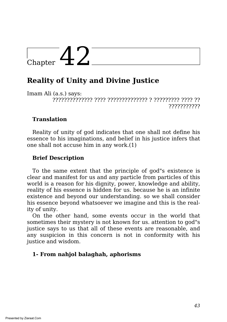## $\frac{1}{\text{Chapter 42}}$

## **Reality of Unity and Divine Justice**

Imam Ali (a.s.) says: ?????????????? ???? ?????????????? ? ????????? ???? ?? ???????????

#### **Translation**

Reality of unity of god indicates that one shall not define his essence to his imaginations, and belief in his justice infers that one shall not accuse him in any work.(1)

#### **Brief Description**

To the same extent that the principle of god"s existence is clear and manifest for us and any particle from particles of this world is a reason for his dignity, power, knowledge and ability, reality of his essence is hidden for us. because he is an infinite existence and beyond our understanding. so we shall consider his essence beyond whatsoever we imagine and this is the reality of unity.

On the other hand, some events occur in the world that sometimes their mystery is not known for us. attention to god"s justice says to us that all of these events are reasonable, and any suspicion in this concern is not in conformity with his justice and wisdom.

#### **1- From nahjol balaghah, aphorisms**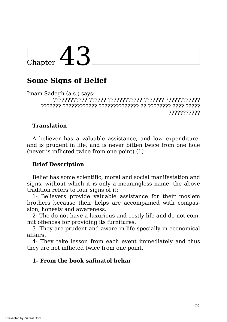### **Some Signs of Belief**

Imam Sadegh (a.s.) says: ???????????? ?????? ???????????? ??????? ???????????? ??????? ???????????? ?????????????? ?? ???????? ???? ????? ???????????

#### **Translation**

A believer has a valuable assistance, and low expenditure, and is prudent in life, and is never bitten twice from one hole (never is inflicted twice from one point).(1)

#### **Brief Description**

Belief has some scientific, moral and social manifestation and signs, without which it is only a meaningless name. the above tradition refers to four signs of it:

1- Believers provide valuable assistance for their moslem brothers because their helps are accompanied with compassion, honesty and awareness.

2- The do not have a luxurious and costly life and do not commit offences for providing its furnitures.

3- They are prudent and aware in life specially in economical affairs.

4- They take lesson from each event immediately and thus they are not inflicted twice from one point.

#### **1- From the book safinatol behar**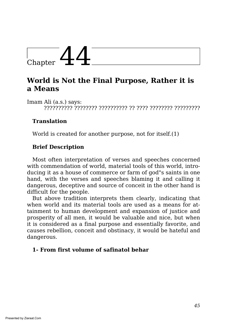

## **World is Not the Final Purpose, Rather it is a Means**

Imam Ali (a.s.) says: ?????????? ???????? ?????????? ?? ???? ???????? ?????????

#### **Translation**

World is created for another purpose, not for itself.(1)

#### **Brief Description**

Most often interpretation of verses and speeches concerned with commendation of world, material tools of this world, introducing it as a house of commerce or farm of god"s saints in one hand, with the verses and speeches blaming it and calling it dangerous, deceptive and source of conceit in the other hand is difficult for the people.

But above tradition interprets them clearly, indicating that when world and its material tools are used as a means for attainment to human development and expansion of justice and prosperity of all men, it would be valuable and nice, but when it is considered as a final purpose and essentially favorite, and causes rebellion, conceit and obstinacy, it would be hateful and dangerous.

#### **1- From first volume of safinatol behar**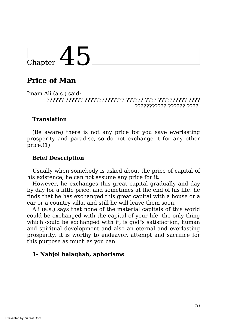## **Price of Man**

Imam Ali (a.s.) said: ?????? ?????? ?????????????? ?????? ???? ?????????? ???? ??????????? ?????? ????.

#### **Translation**

(Be aware) there is not any price for you save everlasting prosperity and paradise, so do not exchange it for any other price.(1)

#### **Brief Description**

Usually when somebody is asked about the price of capital of his existence, he can not assume any price for it.

However, he exchanges this great capital gradually and day by day for a little price, and sometimes at the end of his life, he finds that he has exchanged this great capital with a house or a car or a country villa, and still he will leave them soon.

Ali (a.s.) says that none of the material capitals of this world could be exchanged with the capital of your life. the only thing which could be exchanged with it, is god"s satisfaction, human and spiritual development and also an eternal and everlasting prosperity. it is worthy to endeavor, attempt and sacrifice for this purpose as much as you can.

#### **1- Nahjol balaghah, aphorisms**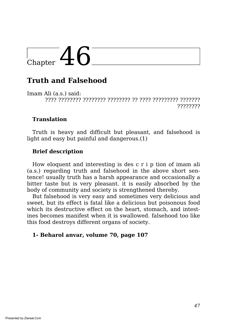## **Truth and Falsehood**

Imam Ali (a.s.) said: ???? ???????? ???????? ???????? ?? ???? ????????? ??????? ????????

#### **Translation**

Truth is heavy and difficult but pleasant, and falsehood is light and easy but painful and dangerous.(1)

#### **Brief description**

How eloquent and interesting is des c r i p tion of imam ali (a.s.) regarding truth and falsehood in the above short sentence! usually truth has a harsh appearance and occasionally a bitter taste but is very pleasant. it is easily absorbed by the body of community and society is strengthened thereby.

But falsehood is very easy and sometimes very delicious and sweet, but its effect is fatal like a delicious but poisonous food which its destructive effect on the heart, stomach, and intestines becomes manifest when it is swallowed. falsehood too like this food destroys different organs of society.

#### **1- Beharol anvar, volume 70, page 107**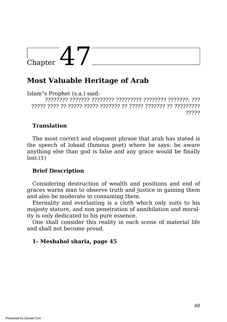# $\Gamma$ Chapter  $47$

## **Most Valuable Heritage of Arab**

Islam"s Prophet (s.a.) said: ???????? ??????? ???????? ????????? ???????? ???????: ??? ????? ???? ?? ????? ????? ??????? ?? ????? ??????? ?? ????????? ?????

#### **Translation**

The most correct and eloquent phrase that arab has stated is the speech of lobaid (famous poet) where he says: be aware anything else than god is false and any grace would be finally  $lost.(1)$ 

#### **Brief Description**

Considering destruction of wealth and positions and end of graces warns man to observe truth and justice in gaining them and also be moderate in consuming them.

Eternality and everlasting is a cloth which only suits to his majesty stature, and non penetration of annihilation and morality is only dedicated to his pure essence.

One shall consider this reality in each scene of material life and shall not become proud.

#### **1- Mesbahol sharia, page 45**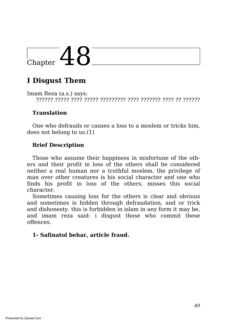## Chapter  $48^-$

## **I Disgust Them**

Imam Reza (a.s.) says: ?????? ????? ???? ????? ????????? ???? ??????? ???? ?? ??????

#### **Translation**

One who defrauds or causes a loss to a moslem or tricks him, does not belong to us.(1)

#### **Brief Description**

Those who assume their happiness in misfortune of the others and their profit in loss of the others shall be considered neither a real human nor a truthful moslem. the privilege of man over other creatures is his social character and one who finds his profit in loss of the others, misses this social character.

Sometimes causing loss for the others is clear and obvious and sometimes is hidden through defraudation, and or trick and dishonesty. this is forbidden in islam in any form it may be, and imam reza said: i disgust those who commit these offences.

#### **1- Safinatol behar, article fraud.**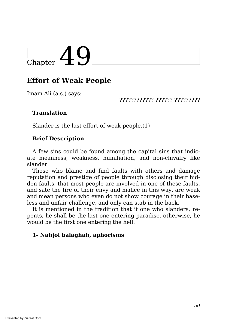## **Effort of Weak People**

Imam Ali (a.s.) says:

???????????? ?????? ?????????

#### **Translation**

Slander is the last effort of weak people.(1)

#### **Brief Description**

A few sins could be found among the capital sins that indicate meanness, weakness, humiliation, and non-chivalry like slander.

Those who blame and find faults with others and damage reputation and prestige of people through disclosing their hidden faults, that most people are involved in one of these faults, and sate the fire of their envy and malice in this way, are weak and mean persons who even do not show courage in their baseless and unfair challenge, and only can stab in the back.

It is mentioned in the tradition that if one who slanders, repents, he shall be the last one entering paradise. otherwise, he would be the first one entering the hell.

#### **1- Nahjol balaghah, aphorisms**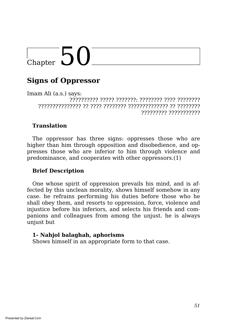# $\overline{\text{Chapter 50}}$

## **Signs of Oppressor**

Imam Ali (a.s.) says: ?????????? ????? ???????: ???????? ???? ???????? ??????????????? ?? ???? ???????? ?????????????? ?? ???????? ????????? ???????????

#### **Translation**

The oppressor has three signs: oppresses those who are higher than him through opposition and disobedience, and oppresses those who are inferior to him through violence and predominance, and cooperates with other oppressors.(1)

#### **Brief Description**

One whose spirit of oppression prevails his mind, and is affected by this unclean morality, shows himself somehow in any case. he refrains performing his duties before those who he shall obey them, and resorts to oppression, force, violence and injustice before his inferiors, and selects his friends and companions and colleagues from among the unjust. he is always unjust but

#### **1- Nahjol balaghah, aphorisms**

Shows himself in an appropriate form to that case.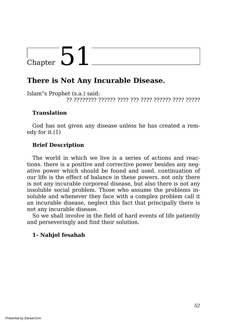## **There is Not Any Incurable Disease.**

Islam"s Prophet (s.a.) said: ?? ???????? ?????? ???? ??? ???? ?????? ???? ?????

#### **Translation**

God has not given any disease unless he has created a remedy for it.(1)

#### **Brief Description**

The world in which we live is a series of actions and reactions. there is a positive and corrective power besides any negative power which should be found and used. continuation of our life is the effect of balance in these powers. not only there is not any incurable corporeal disease, but also there is not any insoluble social problem. Those who assume the problems insoluble and whenever they face with a complex problem call it an incurable disease, neglect this fact that principally there is not any incurable disease.

So we shall involve in the field of hard events of life patiently and perseveringly and find their solution.

#### **1- Nahjol fesahah**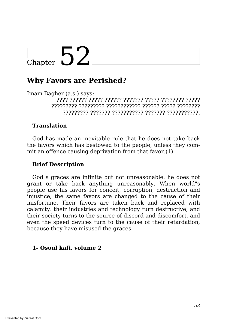### **Why Favors are Perished?**

Imam Bagher (a.s.) says:

???? ?????? ????? ?????? ??????? ????? ???????? ????? ????????? ????????? ???????????? ?????? ????? ???????? ????????? ??????? ??????????? ??????? ???????????.

#### **Translation**

God has made an inevitable rule that he does not take back the favors which has bestowed to the people, unless they commit an offence causing deprivation from that favor.(1)

#### **Brief Description**

God"s graces are infinite but not unreasonable. he does not grant or take back anything unreasonably. When world"s people use his favors for conceit, corruption, destruction and injustice, the same favors are changed to the cause of their misfortune. Their favors are taken back and replaced with calamity. their industries and technology turn destructive, and their society turns to the source of discord and discomfort, and even the speed devices turn to the cause of their retardation, because they have misused the graces.

#### **1- Osoul kafi, volume 2**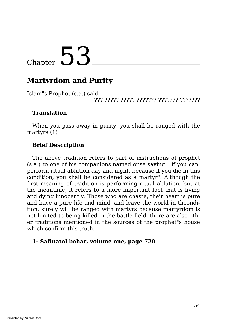## **Martyrdom and Purity**

Islam"s Prophet (s.a.) said:

??? ????? ????? ??????? ??????? ???????

#### **Translation**

When you pass away in purity, you shall be ranged with the martyrs.(1)

#### **Brief Description**

The above tradition refers to part of instructions of prophet (s.a.) to one of his companions named onse saying: `if you can, perform ritual ablution day and night, because if you die in this condition, you shall be considered as a martyr". Although the first meaning of tradition is performing ritual ablution, but at the meantime, it refers to a more important fact that is living and dying innocently. Those who are chaste, their heart is pure and have a pure life and mind, and leave the world in thcondition, surely will be ranged with martyrs because martyrdom is not limited to being killed in the battle field. there are also other traditions mentioned in the sources of the prophet"s house which confirm this truth.

#### **1- Safinatol behar, volume one, page 720**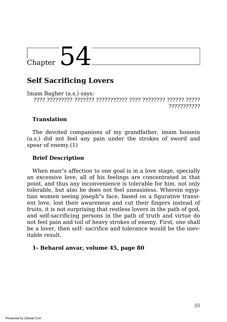### **Self Sacrificing Lovers**

Imam Bagher (a.s.) says: ???? ????????? ??????? ??????????? ???? ???????? ?????? ????? ???????????

#### **Translation**

The devoted companions of my grandfather, imam hossein (a.s.) did not feel any pain under the strokes of sword and spear of enemy.(1)

#### **Brief Description**

When man"s affection to one goal is in a love stage, specially an excessive love, all of his feelings are concentrated in that point, and thus any inconvenience is tolerable for him. not only tolerable, but also he does not feel uneasiness. Wherein egyptian women seeing joseph"s face, based on a figurative transient love, lost their awareness and cut their fingers instead of fruits, it is not surprising that restless lovers in the path of god, and self-sacrificing persons in the path of truth and virtue do not feel pain and toil of heavy strokes of enemy. First, one shall be a lover, then self- sacrifice and tolerance would be the inevitable result.

#### **1- Beharol anvar, volume 45, page 80**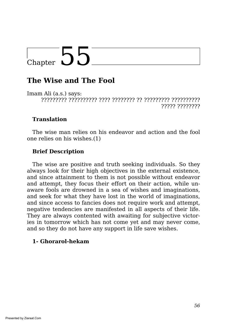### **The Wise and The Fool**

Imam Ali (a.s.) says: ????????? ?????????? ???? ???????? ?? ????????? ?????????? ????? ????????

#### **Translation**

The wise man relies on his endeavor and action and the fool one relies on his wishes.(1)

#### **Brief Description**

The wise are positive and truth seeking individuals. So they always look for their high objectives in the external existence, and since attainment to them is not possible without endeavor and attempt, they focus their effort on their action, while unaware fools are drowned in a sea of wishes and imaginations, and seek for what they have lost in the world of imaginations, and since access to fancies does not require work and attempt, negative tendencies are manifested in all aspects of their life. They are always contented with awaiting for subjective victories in tomorrow which has not come yet and may never come, and so they do not have any support in life save wishes.

#### **1- Ghorarol-hekam**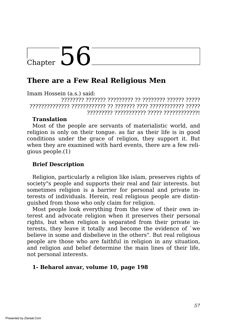### **There are a Few Real Religious Men**

Imam Hossein (a.s.) said:

???????? ??????? ????????? ?? ???????? ?????? ????? ?????????????? ???????????? ?? ??????? ???? ???????????? ????? ????????? ??????????? ????? ????????????!

#### **Translation**

Most of the people are servants of materialistic world, and religion is only on their tongue. as far as their life is in good conditions under the grace of religion, they support it. But when they are examined with hard events, there are a few religious people.(1)

#### **Brief Description**

Religion, particularly a religion like islam, preserves rights of society"s people and supports their real and fair interests. but sometimes religion is a barrier for personal and private interests of individuals. Herein, real religious people are distinguished from those who only claim for religion.

Most people look everything from the view of their own interest and advocate religion when it preserves their personal rights, but when religion is separated from their private interests, they leave it totally and become the evidence of `we believe in some and disbelieve in the others". But real religious people are those who are faithful in religion in any situation, and religion and belief determine the main lines of their life, not personal interests.

#### **1- Beharol anvar, volume 10, page 198**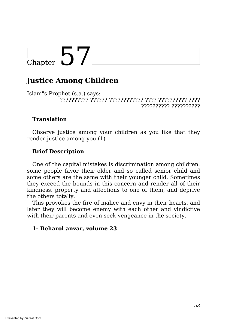## Chapter  $57^-$

## **Justice Among Children**

Islam"s Prophet (s.a.) says: ?????????? ?????? ???????????? ???? ?????????? ???? ?????????? ??????????

#### **Translation**

Observe justice among your children as you like that they render justice among you.(1)

#### **Brief Description**

One of the capital mistakes is discrimination among children. some people favor their older and so called senior child and some others are the same with their younger child. Sometimes they exceed the bounds in this concern and render all of their kindness, property and affections to one of them, and deprive the others totally.

This provokes the fire of malice and envy in their hearts, and later they will become enemy with each other and vindictive with their parents and even seek vengeance in the society.

#### **1- Beharol anvar, volume 23**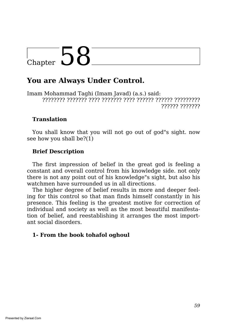### **You are Always Under Control.**

Imam Mohammad Taghi (Imam Javad) (a.s.) said: ???????? ??????? ???? ??????? ???? ?????? ?????? ????????? ?????? ???????

#### **Translation**

You shall know that you will not go out of god"s sight. now see how you shall be?(1)

#### **Brief Description**

The first impression of belief in the great god is feeling a constant and overall control from his knowledge side. not only there is not any point out of his knowledge"s sight, but also his watchmen have surrounded us in all directions.

The higher degree of belief results in more and deeper feeling for this control so that man finds himself constantly in his presence. This feeling is the greatest motive for correction of individual and society as well as the most beautiful manifestation of belief, and reestablishing it arranges the most important social disorders.

#### **1- From the book tohafol oghoul**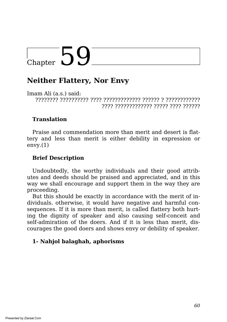### **Neither Flattery, Nor Envy**

Imam Ali (a.s.) said: ???????? ?????????? ???? ????????????? ?????? ? ???????????? ???? ????????????? ????? ???? ??????

#### **Translation**

Praise and commendation more than merit and desert is flattery and less than merit is either debility in expression or  $envy.(1)$ 

#### **Brief Description**

Undoubtedly, the worthy individuals and their good attributes and deeds should be praised and appreciated, and in this way we shall encourage and support them in the way they are proceeding.

But this should be exactly in accordance with the merit of individuals. otherwise, it would have negative and harmful consequences. If it is more than merit, is called flattery both hurting the dignity of speaker and also causing self-conceit and self-admiration of the doers. And if it is less than merit, discourages the good doers and shows envy or debility of speaker.

#### **1- Nahjol balaghah, aphorisms**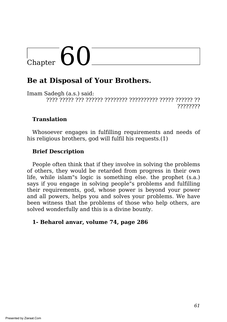# $\overline{\text{Chapter 60}}$

## **Be at Disposal of Your Brothers.**

Imam Sadegh (a.s.) said: ???? ????? ??? ?????? ???????? ?????????? ????? ?????? ?? ????????

#### **Translation**

Whosoever engages in fulfilling requirements and needs of his religious brothers, god will fulfil his requests.(1)

#### **Brief Description**

People often think that if they involve in solving the problems of others, they would be retarded from progress in their own life, while islam"s logic is something else. the prophet (s.a.) says if you engage in solving people"s problems and fulfilling their requirements, god, whose power is beyond your power and all powers, helps you and solves your problems. We have been witness that the problems of those who help others, are solved wonderfully and this is a divine bounty.

#### **1- Beharol anvar, volume 74, page 286**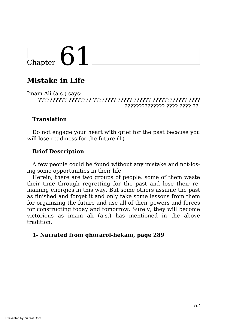## **Mistake in Life**

Imam Ali (a.s.) says: ?????????? ???????? ???????? ????? ?????? ???????????? ???? ?????????????? ???? ???? ??.

#### **Translation**

Do not engage your heart with grief for the past because you will lose readiness for the future.(1)

#### **Brief Description**

A few people could be found without any mistake and not-losing some opportunities in their life.

Herein, there are two groups of people. some of them waste their time through regretting for the past and lose their remaining energies in this way. But some others assume the past as finished and forget it and only take some lessons from them for organizing the future and use all of their powers and forces for constructing today and tomorrow. Surely, they will become victorious as imam ali (a.s.) has mentioned in the above tradition.

#### **1- Narrated from ghorarol-hekam, page 289**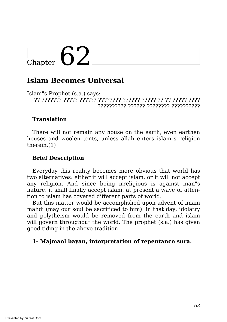### **Islam Becomes Universal**

Islam"s Prophet (s.a.) says: ?? ??????? ????? ?????? ???????? ?????? ????? ?? ?? ????? ???? ?????????? ?????? ???????? ??????????

#### **Translation**

There will not remain any house on the earth, even earthen houses and woolen tents, unless allah enters islam"s religion therein.(1)

#### **Brief Description**

Everyday this reality becomes more obvious that world has two alternatives: either it will accept islam, or it will not accept any religion. And since being irreligious is against man"s nature, it shall finally accept islam. at present a wave of attention to islam has covered different parts of world.

But this matter would be accomplished upon advent of imam mahdi (may our soul be sacrificed to him). in that day, idolatry and polytheism would be removed from the earth and islam will govern throughout the world. The prophet (s.a.) has given good tiding in the above tradition.

#### **1- Majmaol bayan, interpretation of repentance sura.**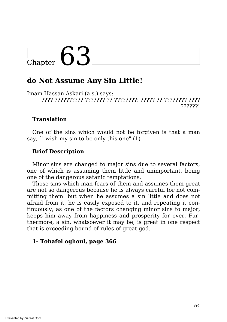### **do Not Assume Any Sin Little!**

Imam Hassan Askari (a.s.) says: ???? ?????????? ??????? ?? ????????: ????? ?? ???????? ???? ??????!

#### **Translation**

One of the sins which would not be forgiven is that a man say, `i wish my sin to be only this one".(1)

#### **Brief Description**

Minor sins are changed to major sins due to several factors, one of which is assuming them little and unimportant, being one of the dangerous satanic temptations.

Those sins which man fears of them and assumes them great are not so dangerous because he is always careful for not committing them. but when he assumes a sin little and does not afraid from it, he is easily exposed to it, and repeating it continuously, as one of the factors changing minor sins to major, keeps him away from happiness and prosperity for ever. Furthermore, a sin, whatsoever it may be, is great in one respect that is exceeding bound of rules of great god.

#### **1- Tohafol oghoul, page 366**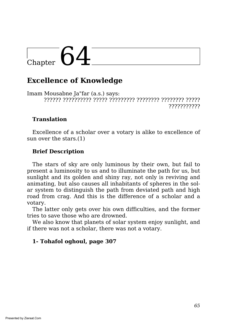# $\frac{1}{\text{Chapter 64}}$

### **Excellence of Knowledge**

Imam Mousabne Ja"far (a.s.) says: ?????? ?????????? ????? ????????? ???????? ???????? ????? ???????????

#### **Translation**

Excellence of a scholar over a votary is alike to excellence of sun over the stars.(1)

#### **Brief Description**

The stars of sky are only luminous by their own, but fail to present a luminosity to us and to illuminate the path for us, but sunlight and its golden and shiny ray, not only is reviving and animating, but also causes all inhabitants of spheres in the solar system to distinguish the path from deviated path and high road from crag. And this is the difference of a scholar and a votary.

The latter only gets over his own difficulties, and the former tries to save those who are drowned.

We also know that planets of solar system enjoy sunlight, and if there was not a scholar, there was not a votary.

#### **1- Tohafol oghoul, page 307**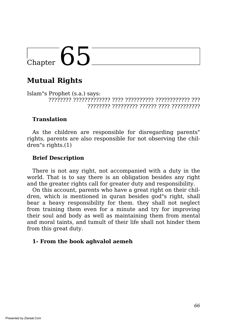## **Mutual Rights**

Islam"s Prophet (s.a.) says: ???????? ????????????? ???? ?????????? ???????????? ??? ???????? ????????? ?????? ???? ??????????

#### **Translation**

As the children are responsible for disregarding parents" rights, parents are also responsible for not observing the children"s rights.(1)

#### **Brief Description**

There is not any right, not accompanied with a duty in the world. That is to say there is an obligation besides any right and the greater rights call for greater duty and responsibility.

On this account, parents who have a great right on their children, which is mentioned in quran besides god"s right, shall bear a heavy responsibility for them. they shall not neglect from training them even for a minute and try for improving their soul and body as well as maintaining them from mental and moral taints, and tumult of their life shall not hinder them from this great duty.

#### **1- From the book aghvalol aemeh**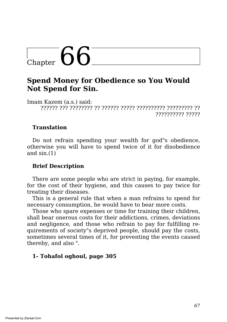### **Spend Money for Obedience so You Would Not Spend for Sin.**

Imam Kazem (a.s.) said: ?????? ??? ???????? ?? ?????? ????? ?????????? ????????? ?? ?????????? ?????

#### **Translation**

Do not refrain spending your wealth for god"s obedience, otherwise you will have to spend twice of it for disobedience and  $sin.(1)$ 

#### **Brief Description**

There are some people who are strict in paying, for example, for the cost of their hygiene, and this causes to pay twice for treating their diseases.

This is a general rule that when a man refrains to spend for necessary consumption, he would have to bear more costs.

Those who spare expenses or time for training their children, shall bear onerous costs for their addictions, crimes, deviations and negligence, and those who refrain to pay for fulfilling requirements of society"s deprived people, should pay the costs, sometimes several times of it, for preventing the events caused thereby, and also ".

#### **1- Tohafol oghoul, page 305**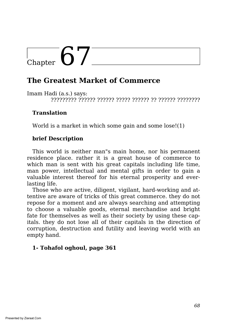## **The Greatest Market of Commerce**

Imam Hadi (a.s.) says:

????????? ?????? ?????? ????? ?????? ?? ?????? ????????

#### **Translation**

World is a market in which some gain and some lose!(1)

#### **brief Description**

This world is neither man"s main home, nor his permanent residence place. rather it is a great house of commerce to which man is sent with his great capitals including life time, man power, intellectual and mental gifts in order to gain a valuable interest thereof for his eternal prosperity and everlasting life.

Those who are active, diligent, vigilant, hard-working and attentive are aware of tricks of this great commerce. they do not repose for a moment and are always searching and attempting to choose a valuable goods, eternal merchandise and bright fate for themselves as well as their society by using these capitals. they do not lose all of their capitals in the direction of corruption, destruction and futility and leaving world with an empty hand.

#### **1- Tohafol oghoul, page 361**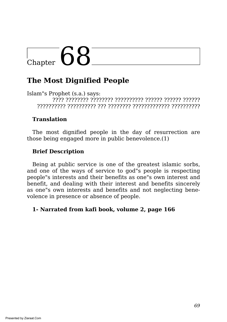# $\overline{C_{\text{hapter}}}$  68

## **The Most Dignified People**

Islam"s Prophet (s.a.) says: ???? ???????? ???????? ?????????? ?????? ?????? ?????? ?????????? ?????????? ??? ???????? ????????????? ??????????

#### **Translation**

The most dignified people in the day of resurrection are those being engaged more in public benevolence.(1)

#### **Brief Description**

Being at public service is one of the greatest islamic sorbs, and one of the ways of service to god"s people is respecting people"s interests and their benefits as one"s own interest and benefit, and dealing with their interest and benefits sincerely as one"s own interests and benefits and not neglecting benevolence in presence or absence of people.

#### **1- Narrated from kafi book, volume 2, page 166**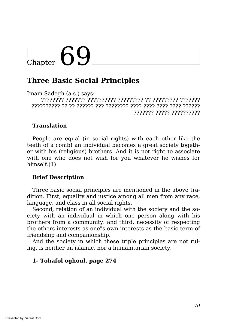# $\bigcup_{\text{Chapter}} 69$

### **Three Basic Social Principles**

Imam Sadegh (a.s.) says: ???????? ??????? ?????????? ????????? ?? ????????? ??????? ?????????? ?? ?? ?????? ??? ???????? ???? ???? ???? ???? ?????? ??????? ????? ??????????

#### **Translation**

People are equal (in social rights) with each other like the teeth of a comb! an individual becomes a great society together with his (religious) brothers. And it is not right to associate with one who does not wish for you whatever he wishes for himself.(1)

#### **Brief Description**

Three basic social principles are mentioned in the above tradition. First, equality and justice among all men from any race, language, and class in all social rights.

Second, relation of an individual with the society and the society with an individual in which one person along with his brothers from a community. and third, necessity of respecting the others interests as one"s own interests as the basic term of friendship and companionship.

And the society in which these triple principles are not ruling, is neither an islamic, nor a humanitarian society.

#### **1- Tohafol oghoul, page 274**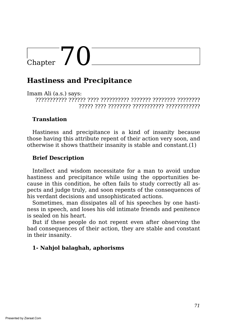# $\frac{1}{2}$ Chapter 70

### **Hastiness and Precipitance**

Imam Ali (a.s.) says: ??????????? ?????? ???? ?????????? ??????? ???????? ???????? ????? ???? ???????? ??????????? ????????????

#### **Translation**

Hastiness and precipitance is a kind of insanity because those having this attribute repent of their action very soon, and otherwise it shows thattheir insanity is stable and constant.(1)

#### **Brief Description**

Intellect and wisdom necessitate for a man to avoid undue hastiness and precipitance while using the opportunities because in this condition, he often fails to study correctly all aspects and judge truly, and soon repents of the consequences of his verdant decisions and unsophisticated actions.

Sometimes, man dissipates all of his speeches by one hastiness in speech, and loses his old intimate friends and penitence is sealed on his heart.

But if these people do not repent even after observing the bad consequences of their action, they are stable and constant in their insanity.

#### **1- Nahjol balaghah, aphorisms**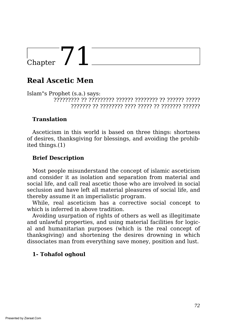## **Real Ascetic Men**

Islam"s Prophet (s.a.) says: ????????? ?? ????????? ?????? ???????? ?? ?????? ????? ??????? ?? ???????? ???? ????? ?? ??????? ??????

#### **Translation**

Asceticism in this world is based on three things: shortness of desires, thanksgiving for blessings, and avoiding the prohibited things.(1)

#### **Brief Description**

Most people misunderstand the concept of islamic asceticism and consider it as isolation and separation from material and social life, and call real ascetic those who are involved in social seclusion and have left all material pleasures of social life, and thereby assume it an imperialistic program.

While, real asceticism has a corrective social concept to which is inferred in above tradition.

Avoiding usurpation of rights of others as well as illegitimate and unlawful properties, and using material facilities for logical and humanitarian purposes (which is the real concept of thanksgiving) and shortening the desires drowning in which dissociates man from everything save money, position and lust.

#### **1- Tohafol oghoul**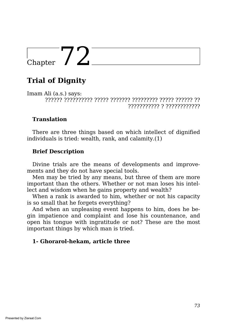## **Trial of Dignity**

Imam Ali (a.s.) says: ?????? ?????????? ????? ??????? ????????? ????? ?????? ?? ??????????? ? ????????????

#### **Translation**

There are three things based on which intellect of dignified individuals is tried: wealth, rank, and calamity.(1)

#### **Brief Description**

Divine trials are the means of developments and improvements and they do not have special tools.

Men may be tried by any means, but three of them are more important than the others. Whether or not man loses his intellect and wisdom when he gains property and wealth?

When a rank is awarded to him, whether or not his capacity is so small that he forgets everything?

And when an unpleasing event happens to him, does he begin impatience and complaint and lose his countenance, and open his tongue with ingratitude or not? These are the most important things by which man is tried.

#### **1- Ghorarol-hekam, article three**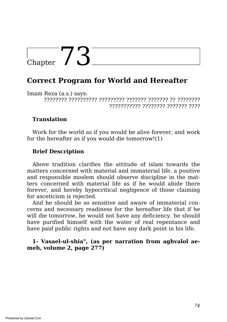## $_{\text{Chapter}}$  73

### **Correct Program for World and Hereafter**

Imam Reza (a.s.) says: ???????? ?????????? ????????? ??????? ??????? ?? ???????? ??????????? ???????? ??????? ????

#### **Translation**

Work for the world as if you would be alive forever, and work for the hereafter as if you would die tomorrow!(1)

#### **Brief Description**

Above tradition clarifies the attitude of islam towards the matters concerned with material and immaterial life. a positive and responsible moslem should observe discipline in the matters concerned with material life as if he would abide there forever, and hereby hypocritical negligence of those claiming for asceticism is rejected.

And he should be so sensitive and aware of immaterial concerns and necessary readiness for the hereafter life that if he will die tomorrow, he would not have any deficiency. he should have purified himself with the water of real repentance and have paid public rights and not have any dark point in his life.

#### **1- Vasael-ul-shia", (as per narration from aghvalol aemeh, volume 2, page 277)**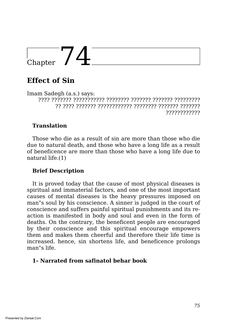### **Effect of Sin**

Imam Sadegh (a.s.) says: ???? ??????? ??????????? ???????? ??????? ??????? ????????? ?? ???? ??????? ???????????? ???????? ??????? ??????? ????????????

#### **Translation**

Those who die as a result of sin are more than those who die due to natural death, and those who have a long life as a result of beneficence are more than those who have a long life due to natural life.(1)

#### **Brief Description**

It is proved today that the cause of most physical diseases is spiritual and immaterial factors, and one of the most important causes of mental diseases is the heavy pressures imposed on man"s soul by his conscience. A sinner is judged in the court of conscience and suffers painful spiritual punishments and its reaction is manifested in body and soul and even in the form of deaths. On the contrary, the beneficent people are encouraged by their conscience and this spiritual encourage empowers them and makes them cheerful and therefore their life time is increased. hence, sin shortens life, and beneficence prolongs man"s life.

#### **1- Narrated from safinatol behar book**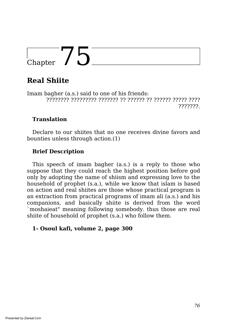# $\frac{1}{\text{Chapter 75}}$

## **Real Shiite**

Imam bagher (a.s.) said to one of his friends: ???????? ????????? ??????? ?? ?????? ?? ?????? ????? ???? ???????.

#### **Translation**

Declare to our shiites that no one receives divine favors and bounties unless through action.(1)

#### **Brief Description**

This speech of imam bagher (a.s.) is a reply to those who suppose that they could reach the highest position before god only by adopting the name of shiism and expressing love to the household of prophet (s.a.), while we know that islam is based on action and real shiites are those whose practical program is an extraction from practical programs of imam ali (a.s.) and his companions, and basically shiite is derived from the word `moshaieat" meaning following somebody. thus those are real shiite of household of prophet (s.a.) who follow them.

#### **1- Osoul kafi, volume 2, page 300**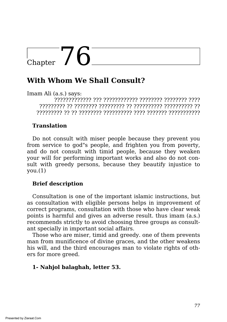### **With Whom We Shall Consult?**

Imam Ali (a.s.) says:

????????????? ??? ???????????? ???????? ???????? ???? ????????? ?? ???????? ????????? ?? ?????????? ?????????? ?? ????????? ?? ?? ???????? ?????????? ???? ??????? ???????????

#### **Translation**

Do not consult with miser people because they prevent you from service to god"s people, and frighten you from poverty, and do not consult with timid people, because they weaken your will for performing important works and also do not consult with greedy persons, because they beautify injustice to  $vou.(1)$ 

#### **Brief description**

Consultation is one of the important islamic instructions, but as consultation with eligible persons helps in improvement of correct programs, consultation with those who have clear weak points is harmful and gives an adverse result. thus imam (a.s.) recommends strictly to avoid choosing three groups as consultant specially in important social affairs.

Those who are miser, timid and greedy. one of them prevents man from munificence of divine graces, and the other weakens his will, and the third encourages man to violate rights of others for more greed.

#### **1- Nahjol balaghah, letter 53.**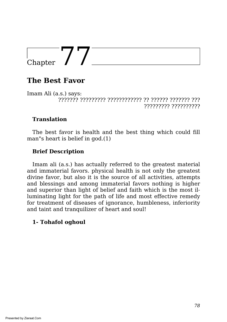### **The Best Favor**

Imam Ali (a.s.) says: ??????? ????????? ???????????? ?? ?????? ??????? ??? ????????? ??????????

#### **Translation**

The best favor is health and the best thing which could fill man"s heart is belief in god.(1)

#### **Brief Description**

Imam ali (a.s.) has actually referred to the greatest material and immaterial favors. physical health is not only the greatest divine favor, but also it is the source of all activities, attempts and blessings and among immaterial favors nothing is higher and superior than light of belief and faith which is the most illuminating light for the path of life and most effective remedy for treatment of diseases of ignorance, humbleness, inferiority and taint and tranquilizer of heart and soul!

#### **1- Tohafol oghoul**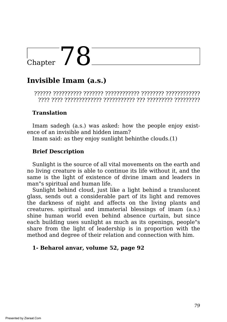## $C_{\text{hapter}}$  78

## **Invisible Imam (a.s.)**

?????? ?????????? ??????? ???????????? ???????? ???????????? ???? ???? ????????????? ??????????? ??? ????????? ?????????

#### **Translation**

Imam sadegh (a.s.) was asked: how the people enjoy existence of an invisible and hidden imam?

Imam said: as they enjoy sunlight behinthe clouds.(1)

#### **Brief Description**

Sunlight is the source of all vital movements on the earth and no living creature is able to continue its life without it, and the same is the light of existence of divine imam and leaders in man"s spiritual and human life.

Sunlight behind cloud, just like a light behind a translucent glass, sends out a considerable part of its light and removes the darkness of night and affects on the living plants and creatures. spiritual and immaterial blessings of imam (a.s.) shine human world even behind absence curtain, but since each building uses sunlight as much as its openings, people"s share from the light of leadership is in proportion with the method and degree of their relation and connection with him.

#### **1- Beharol anvar, volume 52, page 92**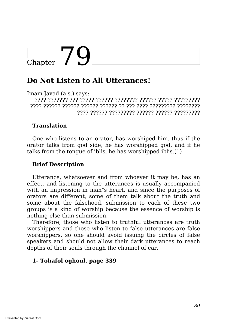### **Do Not Listen to All Utterances!**

Imam Javad (a.s.) says:

???? ??????? ??? ????? ?????? ???????? ?????? ????? ????????? ???? ?????? ?????? ?????? ?????? ?? ??? ???? ????????? ???????? ???? ?????? ????????? ?????? ?????? ?????????

#### **Translation**

One who listens to an orator, has worshiped him. thus if the orator talks from god side, he has worshipped god, and if he talks from the tongue of iblis, he has worshipped iblis.(1)

#### **Brief Description**

Utterance, whatsoever and from whoever it may be, has an effect, and listening to the utterances is usually accompanied with an impression in man"s heart, and since the purposes of orators are different, some of them talk about the truth and some about the falsehood, submission to each of these two groups is a kind of worship because the essence of worship is nothing else than submission.

Therefore, those who listen to truthful utterances are truth worshippers and those who listen to false utterances are false worshippers. so one should avoid issuing the circles of false speakers and should not allow their dark utterances to reach depths of their souls through the channel of ear.

#### **1- Tohafol oghoul, page 339**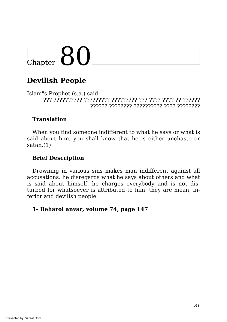## $\overline{\text{Chapter 80}}$

## **Devilish People**

Islam"s Prophet (s.a.) said: ??? ?????????? ????????? ????????? ??? ???? ???? ?? ?????? ?????? ???????? ?????????? ???? ????????

#### **Translation**

When you find someone indifferent to what he says or what is said about him, you shall know that he is either unchaste or satan.(1)

#### **Brief Description**

Drowning in various sins makes man indifferent against all accusations. he disregards what he says about others and what is said about himself. he charges everybody and is not disturbed for whatsoever is attributed to him. they are mean, inferior and devilish people.

#### **1- Beharol anvar, volume 74, page 147**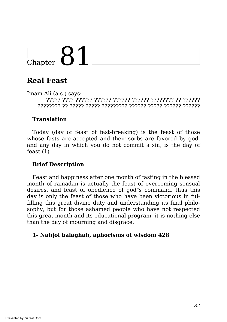## **Real Feast**

Imam Ali (a.s.) says: ????? ???? ?????? ?????? ?????? ?????? ???????? ?? ?????? ???????? ?? ????? ????? ????????? ?????? ????? ?????? ??????

#### **Translation**

Today (day of feast of fast-breaking) is the feast of those whose fasts are accepted and their sorbs are favored by god, and any day in which you do not commit a sin, is the day of feast.(1)

#### **Brief Description**

Feast and happiness after one month of fasting in the blessed month of ramadan is actually the feast of overcoming sensual desires, and feast of obedience of god"s command. thus this day is only the feast of those who have been victorious in fulfilling this great divine duty and understanding its final philosophy, but for those ashamed people who have not respected this great month and its educational program, it is nothing else than the day of mourning and disgrace.

#### **1- Nahjol balaghah, aphorisms of wisdom 428**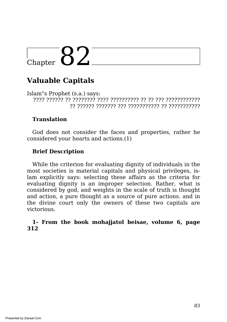## Chapter  $82^-$

## **Valuable Capitals**

Islam"s Prophet (s.a.) says: ???? ?????? ?? ???????? ???? ?????????? ?? ?? ??? ???????????? ?? ?????? ??????? ??? ??????????? ?? ???????????

#### **Translation**

God does not consider the faces and properties, rather he considered your hearts and actions.(1)

#### **Brief Description**

While the criterion for evaluating dignity of individuals in the most societies is material capitals and physical privileges, islam explicitly says: selecting these affairs as the criteria for evaluating dignity is an improper selection. Rather, what is considered by god, and weights in the scale of truth is thought and action, a pure thought as a source of pure actions. and in the divine court only the owners of these two capitals are victorious.

#### **1- From the book mohajjatol beisae, volume 6, page 312**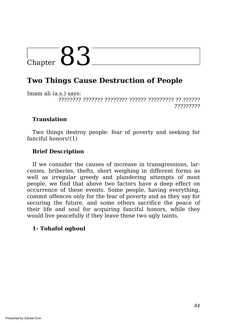## $\overline{\text{Chapter 83}}$

### **Two Things Cause Destruction of People**

Imam ali (a.s.) says: ???????? ??????? ???????? ?????? ????????? ?? ?????? ?????????

#### **Translation**

Two things destroy people: fear of poverty and seeking for fanciful honors!(1)

#### **Brief Description**

If we consider the causes of increase in transgressions, larcenies, briberies, thefts, short weighing in different forms as well as irregular greedy and plundering attempts of most people, we find that above two factors have a deep effect on occurrence of these events. Some people, having everything, commit offences only for the fear of poverty and as they say for securing the future, and some others sacrifice the peace of their life and soul for acquiring fanciful honors, while they would live peacefully if they leave these two ugly taints.

#### **1- Tohafol oghoul**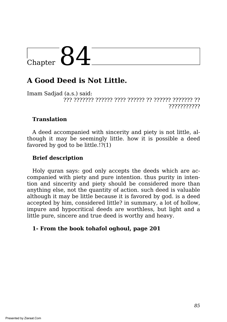### **A Good Deed is Not Little.**

Imam Sadjad (a.s.) said: ??? ??????? ?????? ???? ?????? ?? ?????? ??????? ?? ???????????

#### **Translation**

A deed accompanied with sincerity and piety is not little, although it may be seemingly little. how it is possible a deed favored by god to be little.!?(1)

#### **Brief description**

Holy quran says: god only accepts the deeds which are accompanied with piety and pure intention. thus purity in intention and sincerity and piety should be considered more than anything else, not the quantity of action. such deed is valuable although it may be little because it is favored by god. is a deed accepted by him, considered little? in summary, a lot of hollow, impure and hypocritical deeds are worthless, but light and a little pure, sincere and true deed is worthy and heavy.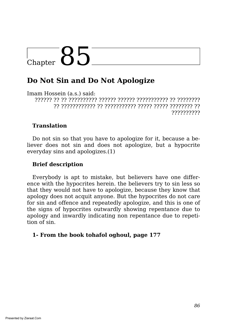## $\epsilon_{\text{Chapter}}$  85

### **Do Not Sin and Do Not Apologize**

Imam Hossein (a.s.) said:

?????? ?? ?? ?????????? ?????? ?????? ??????????? ?? ???????? ?? ???????????? ?? ??????????? ????? ????? ???????? ?? ??????????

#### **Translation**

Do not sin so that you have to apologize for it, because a believer does not sin and does not apologize, but a hypocrite everyday sins and apologizes.(1)

#### **Brief description**

Everybody is apt to mistake, but believers have one difference with the hypocrites herein. the believers try to sin less so that they would not have to apologize, because they know that apology does not acquit anyone. But the hypocrites do not care for sin and offence and repeatedly apologize, and this is one of the signs of hypocrites outwardly showing repentance due to apology and inwardly indicating non repentance due to repetition of sin.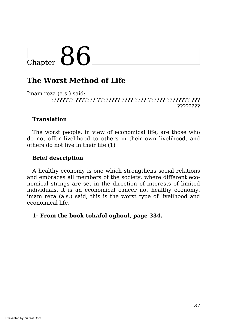# $C<sub>hapter</sub> 86$

### **The Worst Method of Life**

Imam reza (a.s.) said: ???????? ??????? ???????? ???? ???? ?????? ???????? ??? ????????

#### **Translation**

The worst people, in view of economical life, are those who do not offer livelihood to others in their own livelihood, and others do not live in their life.(1)

#### **Brief description**

A healthy economy is one which strengthens social relations and embraces all members of the society. where different economical strings are set in the direction of interests of limited individuals, it is an economical cancer not healthy economy. imam reza (a.s.) said, this is the worst type of livelihood and economical life.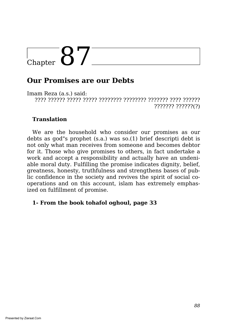## Chapter  $87^-$

### **Our Promises are our Debts**

Imam Reza (a.s.) said: ???? ?????? ????? ????? ???????? ???????? ??????? ???? ?????? ??????? ??????(?)

#### **Translation**

We are the household who consider our promises as our debts as god"s prophet (s.a.) was so.(1) brief descripti debt is not only what man receives from someone and becomes debtor for it. Those who give promises to others, in fact undertake a work and accept a responsibility and actually have an undeniable moral duty. Fulfilling the promise indicates dignity, belief, greatness, honesty, truthfulness and strengthens bases of public confidence in the society and revives the spirit of social cooperations and on this account, islam has extremely emphasized on fulfillment of promise.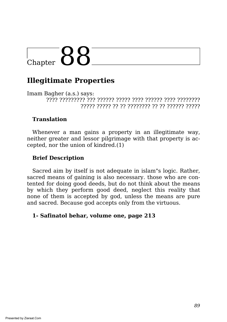## $\Gamma_{\text{Chapter}}$  88

### **Illegitimate Properties**

Imam Bagher (a.s.) says: ???? ????????? ??? ?????? ????? ???? ?????? ???? ???????? ????? ????? ?? ?? ???????? ?? ?? ?????? ?????

#### **Translation**

Whenever a man gains a property in an illegitimate way, neither greater and lessor pilgrimage with that property is accepted, nor the union of kindred.(1)

#### **Brief Description**

Sacred aim by itself is not adequate in islam"s logic. Rather, sacred means of gaining is also necessary. those who are contented for doing good deeds, but do not think about the means by which they perform good deed, neglect this reality that none of them is accepted by god, unless the means are pure and sacred. Because god accepts only from the virtuous.

#### **1- Safinatol behar, volume one, page 213**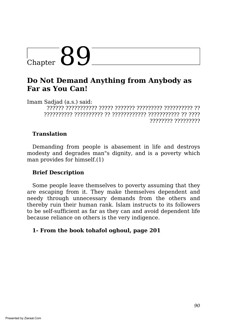### **Do Not Demand Anything from Anybody as Far as You Can!**

Imam Sadjad (a.s.) said: ?????? ??????????? ????? ??????? ????????? ?????????? ?? ?????????? ?????????? ?? ???????????? ??????????? ?? ???? ???????? ?????????

#### **Translation**

Demanding from people is abasement in life and destroys modesty and degrades man"s dignity, and is a poverty which man provides for himself.(1)

#### **Brief Description**

Some people leave themselves to poverty assuming that they are escaping from it. They make themselves dependent and needy through unnecessary demands from the others and thereby ruin their human rank. Islam instructs to its followers to be self-sufficient as far as they can and avoid dependent life because reliance on others is the very indigence.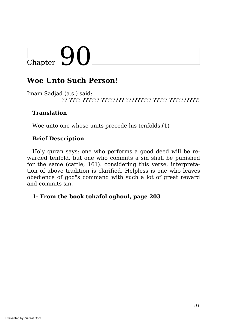# $\begin{array}{|c|c|}\n\hline\n\text{Chapter} & \text{O} & \text{O}\n\end{array}$

### **Woe Unto Such Person!**

Imam Sadjad (a.s.) said: ?? ???? ?????? ???????? ????????? ????? ??????????!

#### **Translation**

Woe unto one whose units precede his tenfolds.(1)

#### **Brief Description**

Holy quran says: one who performs a good deed will be rewarded tenfold, but one who commits a sin shall be punished for the same (cattle, 161). considering this verse, interpretation of above tradition is clarified. Helpless is one who leaves obedience of god"s command with such a lot of great reward and commits sin.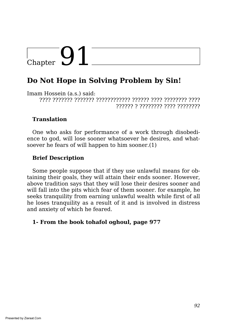## $\begin{array}{c} \begin{array}{c} \end{array}$  Chapter  $\begin{array}{c} \end{array}$

### **Do Not Hope in Solving Problem by Sin!**

Imam Hossein (a.s.) said: ???? ??????? ??????? ???????????? ?????? ???? ???????? ???? ?????? ? ???????? ???? ????????

#### **Translation**

One who asks for performance of a work through disobedience to god, will lose sooner whatsoever he desires, and whatsoever he fears of will happen to him sooner.(1)

#### **Brief Description**

Some people suppose that if they use unlawful means for obtaining their goals, they will attain their ends sooner. However, above tradition says that they will lose their desires sooner and will fall into the pits which fear of them sooner. for example, he seeks tranquility from earning unlawful wealth while first of all he loses tranquility as a result of it and is involved in distress and anxiety of which he feared.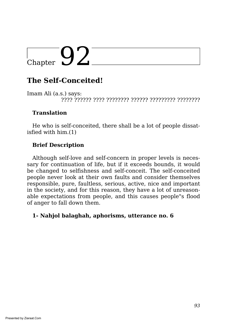## $\boxed{\text{Chapter 92}}$

## **The Self-Conceited!**

Imam Ali (a.s.) says: ???? ?????? ???? ???????? ?????? ????????? ????????

#### **Translation**

He who is self-conceited, there shall be a lot of people dissatisfied with him.(1)

#### **Brief Description**

Although self-love and self-concern in proper levels is necessary for continuation of life, but if it exceeds bounds, it would be changed to selfishness and self-conceit. The self-conceited people never look at their own faults and consider themselves responsible, pure, faultless, serious, active, nice and important in the society, and for this reason, they have a lot of unreasonable expectations from people, and this causes people"s flood of anger to fall down them.

#### **1- Nahjol balaghah, aphorisms, utterance no. 6**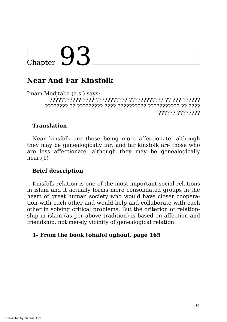### **Near And Far Kinsfolk**

Imam Modjtaba (a.s.) says: ??????????? ???? ??????????? ???????????? ?? ??? ?????? ???????? ?? ????????? ???? ?????????? ??????????? ?? ???? ?????? ????????

#### **Translation**

Near kinsfolk are those being more affectionate, although they may be genealogically far, and far kinsfolk are those who are less affectionate, although they may be genealogically  $near(1)$ 

#### **Brief description**

Kinsfolk relation is one of the most important social relations in islam and it actually forms more consolidated groups in the heart of great human society who would have closer cooperation with each other and would help and collaborate with each other in solving critical problems. But the criterion of relationship in islam (as per above tradition) is based on affection and friendship, not merely vicinity of genealogical relation.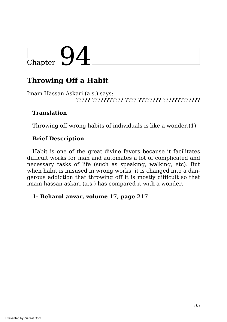## $\overline{\bigcirc_{\text{Chapter}}}$  94

## **Throwing Off a Habit**

Imam Hassan Askari (a.s.) says: ????? ??????????? ???? ???????? ?????????????

#### **Translation**

Throwing off wrong habits of individuals is like a wonder.(1)

#### **Brief Description**

Habit is one of the great divine favors because it facilitates difficult works for man and automates a lot of complicated and necessary tasks of life (such as speaking, walking, etc). But when habit is misused in wrong works, it is changed into a dangerous addiction that throwing off it is mostly difficult so that imam hassan askari (a.s.) has compared it with a wonder.

#### **1- Beharol anvar, volume 17, page 217**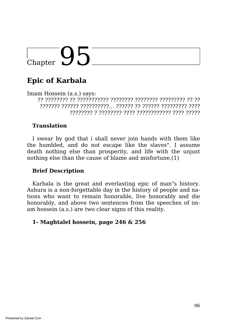## **Epic of Karbala**

Imam Hossein (a.s.) says: ?? ???????? ?? ??????????? ???????? ???????? ????????? ?? ?? ??????? ?????? ??????????… ?????? ?? ?????? ????????? ???? ???????? ? ???????? ???? ???????????? ???? ?????

#### **Translation**

I swear by god that i shall never join hands with them like the humbled, and do not escape like the slaves". I assume death nothing else than prosperity, and life with the unjust nothing else than the cause of blame and misfortune.(1)

#### **Brief Description**

Karbala is the great and everlasting epic of man"s history. Ashura is a non-forgettable day in the history of people and nations who want to remain honorable, live honorably and die honorably, and above two sentences from the speeches of imam hossein (a.s.) are two clear signs of this reality.

#### **1- Maghtalel hossein, page 246 & 256**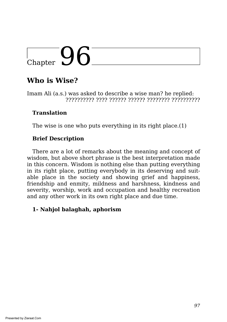# $\overline{\bigcirc_{\text{Chapter}}\mathsf{Q6}}$

## **Who is Wise?**

Imam Ali (a.s.) was asked to describe a wise man? he replied: ?????????? ???? ?????? ?????? ???????? ??????????

#### **Translation**

The wise is one who puts everything in its right place.(1)

#### **Brief Description**

There are a lot of remarks about the meaning and concept of wisdom, but above short phrase is the best interpretation made in this concern. Wisdom is nothing else than putting everything in its right place, putting everybody in its deserving and suitable place in the society and showing grief and happiness, friendship and enmity, mildness and harshness, kindness and severity, worship, work and occupation and healthy recreation and any other work in its own right place and due time.

#### **1- Nahjol balaghah, aphorism**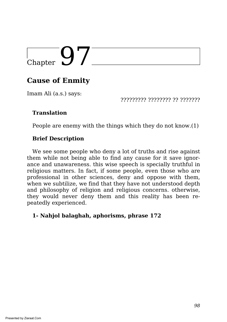## $\begin{array}{|c|c|}\n\hline\n\text{Chapter} & 9\n\end{array}$

## **Cause of Enmity**

Imam Ali (a.s.) says:

????????? ???????? ?? ???????

#### **Translation**

People are enemy with the things which they do not know.(1)

#### **Brief Description**

We see some people who deny a lot of truths and rise against them while not being able to find any cause for it save ignorance and unawareness. this wise speech is specially truthful in religious matters. In fact, if some people, even those who are professional in other sciences, deny and oppose with them, when we subtilize, we find that they have not understood depth and philosophy of religion and religious concerns. otherwise, they would never deny them and this reality has been repeatedly experienced.

#### **1- Nahjol balaghah, aphorisms, phrase 172**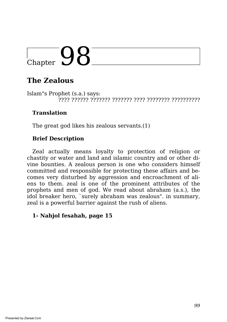## **The Zealous**

Islam"s Prophet (s.a.) says: ???? ?????? ??????? ??????? ???? ???????? ??????????

#### **Translation**

The great god likes his zealous servants.(1)

#### **Brief Description**

Zeal actually means loyalty to protection of religion or chastity or water and land and islamic country and or other divine bounties. A zealous person is one who considers himself committed and responsible for protecting these affairs and becomes very disturbed by aggression and encroachment of aliens to them. zeal is one of the prominent attributes of the prophets and men of god. We read about abraham (a.s.), the idol breaker hero, `surely abraham was zealous". in summary, zeal is a powerful barrier against the rush of aliens.

#### **1- Nahjol fesahah, page 15**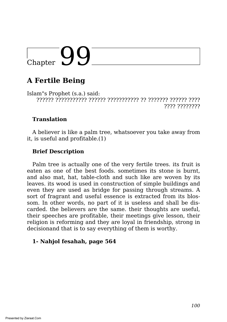## $\bigcup_{\text{Chapter}}$

## **A Fertile Being**

Islam"s Prophet (s.a.) said: ?????? ??????????? ?????? ??????????? ?? ??????? ?????? ???? ???? ????????

#### **Translation**

A believer is like a palm tree, whatsoever you take away from it, is useful and profitable.(1)

#### **Brief Description**

Palm tree is actually one of the very fertile trees. its fruit is eaten as one of the best foods. sometimes its stone is burnt, and also mat, hat, table-cloth and such like are woven by its leaves. its wood is used in construction of simple buildings and even they are used as bridge for passing through streams. A sort of fragrant and useful essence is extracted from its blossom. In other words, no part of it is useless and shall be discarded. the believers are the same. their thoughts are useful, their speeches are profitable, their meetings give lesson, their religion is reforming and they are loyal in friendship, strong in decisionand that is to say everything of them is worthy.

#### **1- Nahjol fesahah, page 564**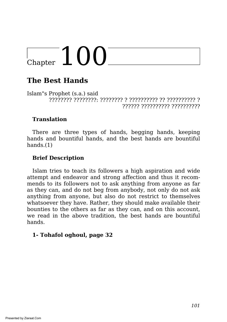# Chapter  $100^-$

## **The Best Hands**

Islam"s Prophet (s.a.) said ???????? ????????: ???????? ? ?????????? ?? ?????????? ? ?????? ?????????? ??????????

#### **Translation**

There are three types of hands, begging hands, keeping hands and bountiful hands, and the best hands are bountiful hands.(1)

#### **Brief Description**

Islam tries to teach its followers a high aspiration and wide attempt and endeavor and strong affection and thus it recommends to its followers not to ask anything from anyone as far as they can, and do not beg from anybody, not only do not ask anything from anyone, but also do not restrict to themselves whatsoever they have. Rather, they should make available their bounties to the others as far as they can, and on this account, we read in the above tradition, the best hands are bountiful hands.

#### **1- Tohafol oghoul, page 32**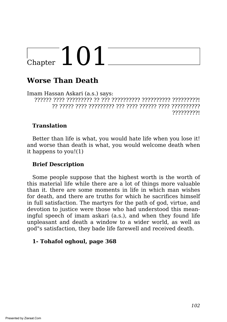# $\frac{1}{2}$ Chapter  $101$

## **Worse Than Death**

Imam Hassan Askari (a.s.) says: ?????? ???? ????????? ?? ??? ?????????? ?????????? ?????????! ?? ????? ???? ????????? ??? ???? ?????? ???? ?????????? ?????????!

#### **Translation**

Better than life is what, you would hate life when you lose it! and worse than death is what, you would welcome death when it happens to you!(1)

#### **Brief Description**

Some people suppose that the highest worth is the worth of this material life while there are a lot of things more valuable than it. there are some moments in life in which man wishes for death, and there are truths for which he sacrifices himself in full satisfaction. The martyrs for the path of god, virtue, and devotion to justice were those who had understood this meaningful speech of imam askari (a.s.), and when they found life unpleasant and death a window to a wider world, as well as god"s satisfaction, they bade life farewell and received death.

#### **1- Tohafol oghoul, page 368**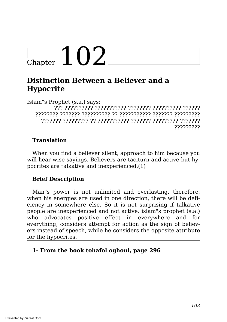# Chapter  $102$ <sup>-</sup>

### **Distinction Between a Believer and a Hypocrite**

Islam"s Prophet (s.a.) says:

??? ?????????? ??????????? ???????? ?????????? ?????? ???????? ??????? ?????????? ?? ??????????? ??????? ????????? ??????? ????????? ?? ??????????? ??????? ????????? ??????? ?????????

#### **Translation**

When you find a believer silent, approach to him because you will hear wise sayings. Believers are taciturn and active but hypocrites are talkative and inexperienced.(1)

#### **Brief Description**

Man"s power is not unlimited and everlasting. therefore, when his energies are used in one direction, there will be deficiency in somewhere else. So it is not surprising if talkative people are inexperienced and not active. islam"s prophet (s.a.) who advocates positive effect in everywhere and for everything, considers attempt for action as the sign of believers instead of speech, while he considers the opposite attribute for the hypocrites.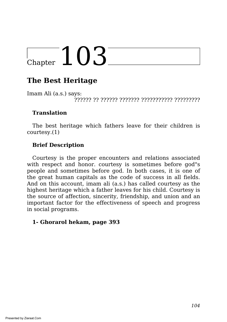## **The Best Heritage**

Imam Ali (a.s.) says: ?????? ?? ?????? ??????? ??????????? ?????????

#### **Translation**

The best heritage which fathers leave for their children is courtesy.(1)

#### **Brief Description**

Courtesy is the proper encounters and relations associated with respect and honor. courtesy is sometimes before god"s people and sometimes before god. In both cases, it is one of the great human capitals as the code of success in all fields. And on this account, imam ali (a.s.) has called courtesy as the highest heritage which a father leaves for his child. Courtesy is the source of affection, sincerity, friendship, and union and an important factor for the effectiveness of speech and progress in social programs.

#### **1- Ghorarol hekam, page 393**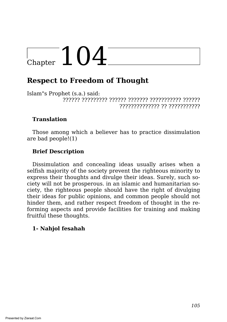# $\frac{1}{2}$ Chapter  $104$

### **Respect to Freedom of Thought**

Islam"s Prophet (s.a.) said: ?????? ????????? ?????? ??????? ??????????? ?????? ?????????????? ?? ???????????

#### **Translation**

Those among which a believer has to practice dissimulation are bad people!(1)

#### **Brief Description**

Dissimulation and concealing ideas usually arises when a selfish majority of the society prevent the righteous minority to express their thoughts and divulge their ideas. Surely, such society will not be prosperous. in an islamic and humanitarian society, the righteous people should have the right of divulging their ideas for public opinions, and common people should not hinder them, and rather respect freedom of thought in the reforming aspects and provide facilities for training and making fruitful these thoughts.

#### **1- Nahjol fesahah**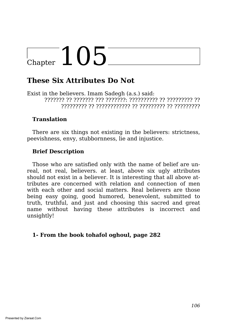### **These Six Attributes Do Not**

Exist in the believers. Imam Sadegh (a.s.) said: ??????? ?? ??????? ??? ???????: ?????????? ?? ????????? ?? ????????? ?? ???????????? ?? ????????? ?? ?????????

#### **Translation**

There are six things not existing in the believers: strictness, peevishness, envy, stubbornness, lie and injustice.

#### **Brief Description**

Those who are satisfied only with the name of belief are unreal, not real, believers. at least, above six ugly attributes should not exist in a believer. It is interesting that all above attributes are concerned with relation and connection of men with each other and social matters. Real believers are those being easy going, good humored, benevolent, submitted to truth, truthful, and just and choosing this sacred and great name without having these attributes is incorrect and unsightly!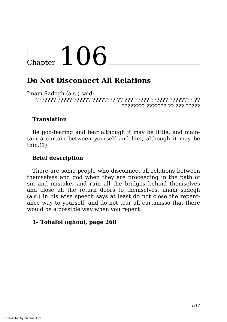### **Do Not Disconnect All Relations**

Imam Sadegh (a.s.) said: ??????? ????? ?????? ???????? ?? ??? ????? ?????? ???????? ?? ???????? ??????? ?? ??? ?????

#### **Translation**

Be god-fearing and fear although it may be little, and maintain a curtain between yourself and him, although it may be  $thin.(1)$ 

#### **Brief description**

There are some people who disconnect all relations between themselves and god when they are proceeding in the path of sin and mistake, and ruin all the bridges behind themselves and close all the return doors to themselves. imam sadegh (a.s.) in his wise speech says at least do not close the repentance way to yourself, and do not tear all curtainsso that there would be a possible way when you repent.

#### **1- Tohafol oghoul, page 268**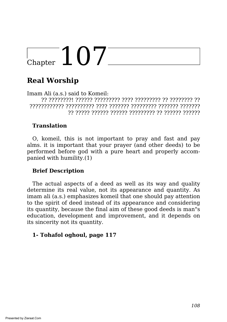# Chapter  $107^-$

## **Real Worship**

Imam Ali (a.s.) said to Komeil: ?? ????????! ?????? ????????? ???? ????????? ?? ???????? ?? ???????????? ?????????? ???? ??????? ????????? ??????? ??????? ?? ????? ?????? ?????? ????????? ?? ?????? ??????

#### **Translation**

O, komeil, this is not important to pray and fast and pay alms. it is important that your prayer (and other deeds) to be performed before god with a pure heart and properly accompanied with humility.(1)

#### **Brief Description**

The actual aspects of a deed as well as its way and quality determine its real value, not its appearance and quantity. As imam ali (a.s.) emphasizes komeil that one should pay attention to the spirit of deed instead of its appearance and considering its quantity, because the final aim of these good deeds is man"s education, development and improvement, and it depends on its sincerity not its quantity.

#### **1- Tohafol oghoul, page 117**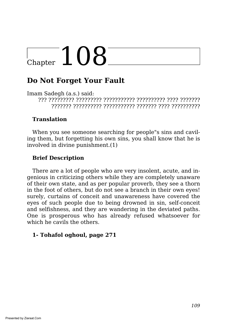## **Do Not Forget Your Fault**

Imam Sadegh (a.s.) said: ??? ????????? ????????? ??????????? ?????????? ???? ???????

??????? ?????????? ??????????? ??????? ???? ??????????

## **Translation**

When you see someone searching for people"s sins and caviling them, but forgetting his own sins, you shall know that he is involved in divine punishment.(1)

## **Brief Description**

There are a lot of people who are very insolent, acute, and ingenious in criticizing others while they are completely unaware of their own state, and as per popular proverb, they see a thorn in the foot of others, but do not see a branch in their own eyes! surely, curtains of conceit and unawareness have covered the eyes of such people due to being drowned in sin, self-conceit and selfishness, and they are wandering in the deviated paths. One is prosperous who has already refused whatsoever for which he cavils the others.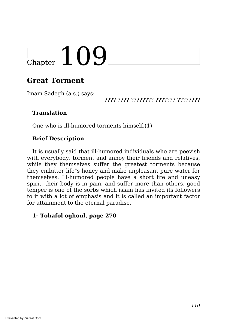# $\overline{\phantom{0}}$ Chapter  $109$

## **Great Torment**

Imam Sadegh (a.s.) says:

???? ???? ???????? ??????? ????????

## **Translation**

One who is ill-humored torments himself.(1)

## **Brief Description**

It is usually said that ill-humored individuals who are peevish with everybody, torment and annoy their friends and relatives, while they themselves suffer the greatest torments because they embitter life"s honey and make unpleasant pure water for themselves. Ill-humored people have a short life and uneasy spirit, their body is in pain, and suffer more than others. good temper is one of the sorbs which islam has invited its followers to it with a lot of emphasis and it is called an important factor for attainment to the eternal paradise.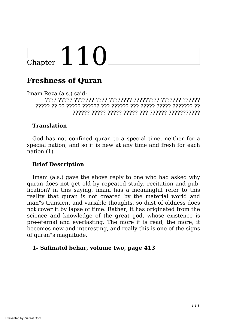## **Freshness of Quran**

Imam Reza (a.s.) said: ???? ????? ??????? ???? ???????? ????????? ??????? ?????? ????? ?? ?? ????? ?????? ??? ?????? ??? ????? ????? ??????? ?? ?????? ????? ????? ????? ??? ?????? ???????????

## **Translation**

God has not confined quran to a special time, neither for a special nation, and so it is new at any time and fresh for each nation.(1)

## **Brief Description**

Imam (a.s.) gave the above reply to one who had asked why quran does not get old by repeated study, recitation and publication? in this saying, imam has a meaningful refer to this reality that quran is not created by the material world and man"s transient and variable thoughts. so dust of oldness does not cover it by lapse of time. Rather, it has originated from the science and knowledge of the great god, whose existence is pre-eternal and everlasting. The more it is read, the more, it becomes new and interesting, and really this is one of the signs of quran"s magnitude.

### **1- Safinatol behar, volume two, page 413**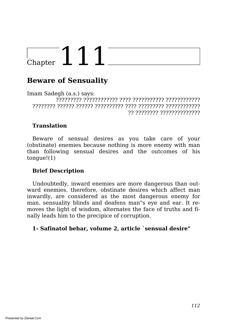## $\overline{C$ hapter  $111$

## **Beware of Sensuality**

Imam Sadegh (a.s.) says: ????????? ???????????? ???? ??????????? ???????????? ???????? ?????? ?????? ?????????? ???? ????????? ???????????? ?? ???????? ??????????????

## **Translation**

Beware of sensual desires as you take care of your (obstinate) enemies because nothing is more enemy with man than following sensual desires and the outcomes of his tongue!(1)

### **Brief Description**

Undoubtedly, inward enemies are more dangerous than outward enemies. therefore, obstinate desires which affect man inwardly, are considered as the most dangerous enemy for man. sensuality blinds and deafens man"s eye and ear. It removes the light of wisdom, alternates the face of truths and finally leads him to the precipice of corruption.

#### **1- Safinatol behar, volume 2, article `sensual desire"**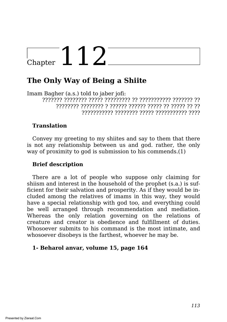## **The Only Way of Being a Shiite**

Imam Bagher (a.s.) told to jaber jofi: ??????? ???????? ????? ????????? ?? ??????????? ??????? ?? ???????? ???????? ? ?????? ?????? ????? ?? ????? ?? ?? ??????????? ???????? ????? ??????????? ????

## **Translation**

Convey my greeting to my shiites and say to them that there is not any relationship between us and god. rather, the only way of proximity to god is submission to his commends.(1)

## **Brief description**

There are a lot of people who suppose only claiming for shiism and interest in the household of the prophet (s.a.) is sufficient for their salvation and prosperity. As if they would be included among the relatives of imams in this way, they would have a special relationship with god too, and everything could be well arranged through recommendation and mediation. Whereas the only relation governing on the relations of creature and creator is obedience and fulfillment of duties. Whosoever submits to his command is the most intimate, and whosoever disobeys is the farthest, whoever he may be.

### **1- Beharol anvar, volume 15, page 164**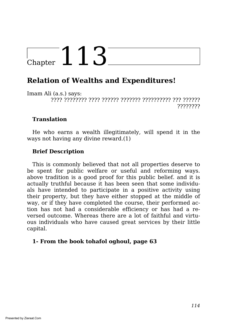## **Relation of Wealths and Expenditures!**

Imam Ali (a.s.) says: ???? ???????? ???? ?????? ??????? ?????????? ??? ?????? ????????

## **Translation**

He who earns a wealth illegitimately, will spend it in the ways not having any divine reward.(1)

## **Brief Description**

This is commonly believed that not all properties deserve to be spent for public welfare or useful and reforming ways. above tradition is a good proof for this public belief. and it is actually truthful because it has been seen that some individuals have intended to participate in a positive activity using their property, but they have either stopped at the middle of way, or if they have completed the course, their performed action has not had a considerable efficiency or has had a reversed outcome. Whereas there are a lot of faithful and virtuous individuals who have caused great services by their little capital.

### **1- From the book tohafol oghoul, page 63**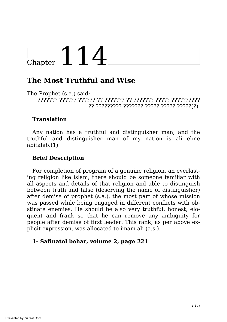## **The Most Truthful and Wise**

The Prophet (s.a.) said:

??????? ?????? ?????? ?? ??????? ?? ??????? ????? ?????????? ?? ????????? ??????? ????? ????? ?????(?).

## **Translation**

Any nation has a truthful and distinguisher man, and the truthful and distinguisher man of my nation is ali ebne abitaleb.(1)

## **Brief Description**

For completion of program of a genuine religion, an everlasting religion like islam, there should be someone familiar with all aspects and details of that religion and able to distinguish between truth and false (deserving the name of distinguisher) after demise of prophet (s.a.), the most part of whose mission was passed while being engaged in different conflicts with obstinate enemies. He should be also very truthful, honest, eloquent and frank so that he can remove any ambiguity for people after demise of first leader. This rank, as per above explicit expression, was allocated to imam ali (a.s.).

### **1- Safinatol behar, volume 2, page 221**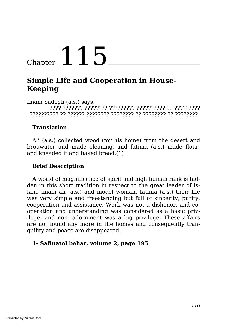## **Simple Life and Cooperation in House-Keeping**

Imam Sadegh (a.s.) says: ???? ??????? ???????? ????????? ?????????? ?? ????????? ?????????? ?? ?????? ???????? ???????? ?? ???????? ?? ????????!

## **Translation**

Ali (a.s.) collected wood (for his home) from the desert and brouwater and made cleaning, and fatima (a.s.) made flour, and kneaded it and baked bread.(1)

## **Brief Description**

A world of magnificence of spirit and high human rank is hidden in this short tradition in respect to the great leader of islam, imam ali (a.s.) and model woman, fatima (a.s.) their life was very simple and freestanding but full of sincerity, purity, cooperation and assistance. Work was not a dishonor, and cooperation and understanding was considered as a basic privilege, and non- adornment was a big privilege. These affairs are not found any more in the homes and consequently tranquility and peace are disappeared.

## **1- Safinatol behar, volume 2, page 195**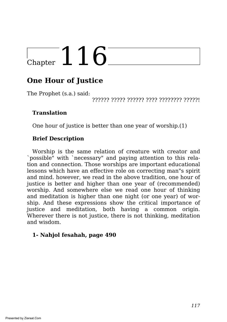## **One Hour of Justice**

The Prophet (s.a.) said:

?????? ????? ?????? ???? ???????? ?????!

## **Translation**

One hour of justice is better than one year of worship.(1)

## **Brief Description**

Worship is the same relation of creature with creator and `possible" with `necessary" and paying attention to this relation and connection. Those worships are important educational lessons which have an effective role on correcting man"s spirit and mind. however, we read in the above tradition, one hour of justice is better and higher than one year of (recommended) worship. And somewhere else we read one hour of thinking and meditation is higher than one night (or one year) of worship. And these expressions show the critical importance of justice and meditation, both having a common origin. Wherever there is not justice, there is not thinking, meditation and wisdom.

## **1- Nahjol fesahah, page 490**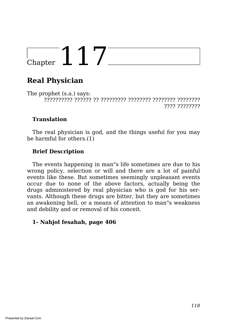## **Real Physician**

The prophet (s.a.) says: ?????????? ?????? ?? ????????? ???????? ???????? ???????? ???? ????????

## **Translation**

The real physician is god, and the things useful for you may be harmful for others.(1)

## **Brief Description**

The events happening in man"s life sometimes are due to his wrong policy, selection or will and there are a lot of painful events like these. But sometimes seemingly unpleasant events occur due to none of the above factors, actually being the drugs administered by real physician who is god for his servants. Although these drugs are bitter, but they are sometimes an awakening bell, or a means of attention to man"s weakness and debility and or removal of his conceit.

## **1- Nahjol fesahah, page 406**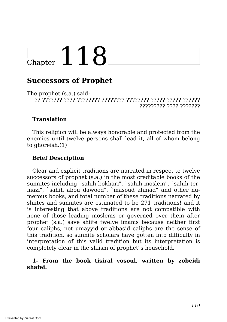## **Successors of Prophet**

The prophet (s.a.) said: ?? ??????? ???? ???????? ???????? ???????? ????? ????? ?????? ????????? ???? ???????

#### **Translation**

This religion will be always honorable and protected from the enemies until twelve persons shall lead it, all of whom belong to ghoreish.(1)

#### **Brief Description**

Clear and explicit traditions are narrated in respect to twelve successors of prophet (s.a.) in the most creditable books of the sunnites including `sahih bokhari", `sahih moslem". `sahih termazi", `sahih abou dawood", `masoud ahmad" and other numerous books, and total number of these traditions narrated by shiites and sunnites are estimated to be 271 traditions! and it is interesting that above traditions are not compatible with none of those leading moslems or governed over them after prophet (s.a.) save shiite twelve imams because neither first four caliphs, not umayyid or abbasid caliphs are the sense of this tradition. so sunnite scholars have gotten into difficulty in interpretation of this valid tradition but its interpretation is completely clear in the shiism of prophet"s household.

#### **1- From the book tisiral vosoul, written by zobeidi shafei.**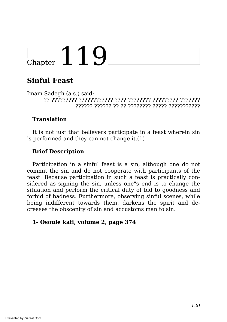## **Sinful Feast**

Imam Sadegh (a.s.) said: ?? ????????? ???????????? ???? ???????? ????????? ??????? ?????? ?????? ?? ?? ???????? ????? ???????????

## **Translation**

It is not just that believers participate in a feast wherein sin is performed and they can not change it.(1)

## **Brief Description**

Participation in a sinful feast is a sin, although one do not commit the sin and do not cooperate with participants of the feast. Because participation in such a feast is practically considered as signing the sin, unless one"s end is to change the situation and perform the critical duty of bid to goodness and forbid of badness. Furthermore, observing sinful scenes, while being indifferent towards them, darkens the spirit and decreases the obscenity of sin and accustoms man to sin.

### **1- Osoule kafi, volume 2, page 374**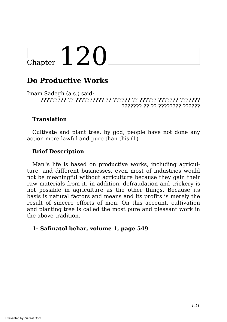## **Do Productive Works**

Imam Sadegh (a.s.) said: ????????? ?? ?????????? ?? ?????? ?? ?????? ??????? ??????? ??????? ?? ?? ???????? ??????

## **Translation**

Cultivate and plant tree. by god, people have not done any action more lawful and pure than this.(1)

## **Brief Description**

Man"s life is based on productive works, including agriculture, and different businesses, even most of industries would not be meaningful without agriculture because they gain their raw materials from it. in addition, defraudation and trickery is not possible in agriculture as the other things. Because its basis is natural factors and means and its profits is merely the result of sincere efforts of men. On this account, cultivation and planting tree is called the most pure and pleasant work in the above tradition.

#### **1- Safinatol behar, volume 1, page 549**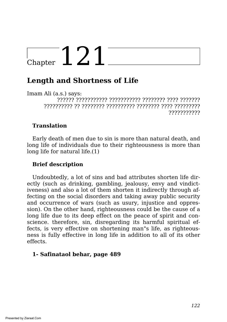## $\sqrt{C_{\text{hapter}}}$  121<sup>-</sup>

## **Length and Shortness of Life**

Imam Ali (a.s.) says: ?????? ??????????? ??????????? ???????? ???? ??????? ?????????? ?? ???????? ?????????? ???????? ???? ????????? ???????????

## **Translation**

Early death of men due to sin is more than natural death, and long life of individuals due to their righteousness is more than long life for natural life.(1)

### **Brief description**

Undoubtedly, a lot of sins and bad attributes shorten life directly (such as drinking, gambling, jealousy, envy and vindictiveness) and also a lot of them shorten it indirectly through affecting on the social disorders and taking away public security and occurrence of wars (such as usury, injustice and oppression). On the other hand, righteousness could be the cause of a long life due to its deep effect on the peace of spirit and conscience. therefore, sin, disregarding its harmful spiritual effects, is very effective on shortening man"s life, as righteousness is fully effective in long life in addition to all of its other effects.

### **1- Safinataol behar, page 489**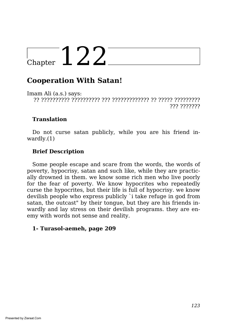## **Cooperation With Satan!**

Imam Ali (a.s.) says: ?? ?????????? ?????????? ??? ????????????? ?? ????? ????????? ???????????

## **Translation**

Do not curse satan publicly, while you are his friend inwardly.(1)

## **Brief Description**

Some people escape and scare from the words, the words of poverty, hypocrisy, satan and such like, while they are practically drowned in them. we know some rich men who live poorly for the fear of poverty. We know hypocrites who repeatedly curse the hypocrites, but their life is full of hypocrisy. we know devilish people who express publicly `i take refuge in god from satan, the outcast" by their tongue, but they are his friends inwardly and lay stress on their devilish programs. they are enemy with words not sense and reality.

### **1- Turasol-aemeh, page 209**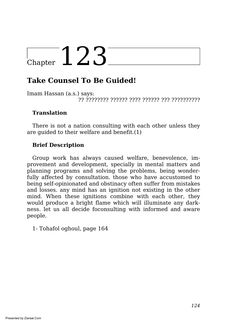## **Take Counsel To Be Guided!**

Imam Hassan (a.s.) says: ?? ???????? ?????? ???? ?????? ??? ??????????

### **Translation**

There is not a nation consulting with each other unless they are guided to their welfare and benefit.(1)

## **Brief Description**

Group work has always caused welfare, benevolence, improvement and development, specially in mental matters and planning programs and solving the problems, being wonderfully affected by consultation. those who have accustomed to being self-opinionated and obstinacy often suffer from mistakes and losses. any mind has an ignition not existing in the other mind. When these ignitions combine with each other, they would produce a bright flame which will illuminate any darkness. let us all decide foconsulting with informed and aware people.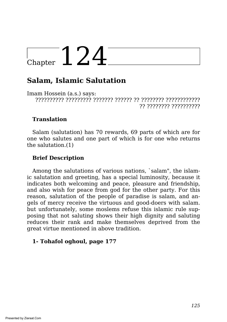## $\sqrt{\frac{124}{2}}$

## **Salam, Islamic Salutation**

Imam Hossein (a.s.) says: ?????????? ????????? ??????? ?????? ?? ???????? ???????????? ?? ???????? ??????????

## **Translation**

Salam (salutation) has 70 rewards, 69 parts of which are for one who salutes and one part of which is for one who returns the salutation.(1)

## **Brief Description**

Among the salutations of various nations, `salam", the islamic salutation and greeting, has a special luminosity, because it indicates both welcoming and peace, pleasure and friendship, and also wish for peace from god for the other party. For this reason, salutation of the people of paradise is salam, and angels of mercy receive the virtuous and good-doers with salam. but unfortunately, some moslems refuse this islamic rule supposing that not saluting shows their high dignity and saluting reduces their rank and make themselves deprived from the great virtue mentioned in above tradition.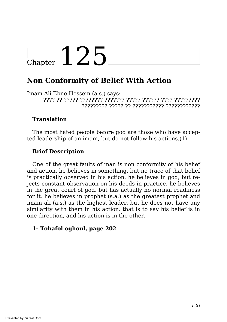## **Non Conformity of Belief With Action**

Imam Ali Ebne Hossein (a.s.) says: ???? ?? ????? ???????? ??????? ????? ?????? ???? ????????? ????????? ????? ?? ??????????? ????????????

### **Translation**

The most hated people before god are those who have accepted leadership of an imam, but do not follow his actions.(1)

## **Brief Description**

One of the great faults of man is non conformity of his belief and action. he believes in something, but no trace of that belief is practically observed in his action. he believes in god, but rejects constant observation on his deeds in practice. he believes in the great court of god, but has actually no normal readiness for it. he believes in prophet (s.a.) as the greatest prophet and imam ali (a.s.) as the highest leader, but he does not have any similarity with them in his action. that is to say his belief is in one direction, and his action is in the other.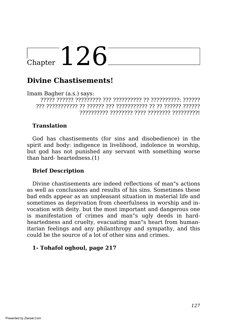## **Divine Chastisements!**

Imam Bagher (a.s.) says: ????? ?????? ????????? ??? ?????????? ?? ??????????: ?????? ??? ??????????? ?? ?????? ??? ??????????? ?? ?? ?????? ?????? ?????????? ???????? ???? ???????? ?????????!

### **Translation**

God has chastisements (for sins and disobedience) in the spirit and body: indigence in livelihood, indolence in worship, but god has not punished any servant with something worse than hard- heartedness.(1)

## **Brief Description**

Divine chastisements are indeed reflections of man"s actions as well as conclusions and results of his sins. Sometimes these bad ends appear as an unpleasant situation in material life and sometimes as deprivation from cheerfulness in worship and invocation with deity. but the most important and dangerous one is manifestation of crimes and man"s ugly deeds in hardheartedness and cruelty, evacuating man"s heart from humanitarian feelings and any philanthropy and sympathy, and this could be the source of a lot of other sins and crimes.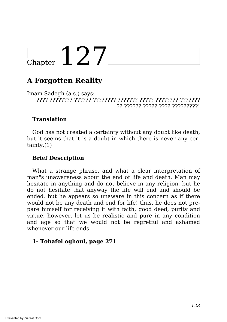## **A Forgotten Reality**

Imam Sadegh (a.s.) says: ???? ???????? ?????? ???????? ??????? ????? ???????? ??????? ?? ?????? ????? ???? ?????????!

### **Translation**

God has not created a certainty without any doubt like death, but it seems that it is a doubt in which there is never any certainty.(1)

## **Brief Description**

What a strange phrase, and what a clear interpretation of man"s unawareness about the end of life and death. Man may hesitate in anything and do not believe in any religion, but he do not hesitate that anyway the life will end and should be ended. but he appears so unaware in this concern as if there would not be any death and end for life! thus, he does not prepare himself for receiving it with faith, good deed, purity and virtue. however, let us be realistic and pure in any condition and age so that we would not be regretful and ashamed whenever our life ends.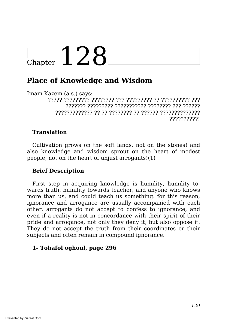## **Place of Knowledge and Wisdom**

Imam Kazem (a.s.) says:

????? ????????? ???????? ??? ????????? ?? ?????????? ??? ??????? ????????? ??????????? ???????? ??? ?????? ????????????? ?? ?? ???????? ?? ?????? ?????????????? ??????????!

## **Translation**

Cultivation grows on the soft lands, not on the stones! and also knowledge and wisdom sprout on the heart of modest people, not on the heart of unjust arrogants!(1)

### **Brief Description**

First step in acquiring knowledge is humility, humility towards truth, humility towards teacher, and anyone who knows more than us, and could teach us something. for this reason, ignorance and arrogance are usually accompanied with each other. arrogants do not accept to confess to ignorance, and even if a reality is not in concordance with their spirit of their pride and arrogance, not only they deny it, but also oppose it. They do not accept the truth from their coordinates or their subjects and often remain in compound ignorance.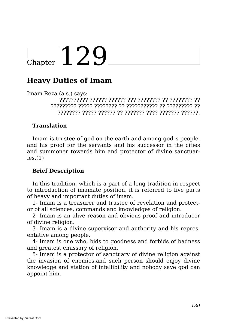## **Heavy Duties of Imam**

Imam Reza (a.s.) says:

?????????? ?????? ?????? ??? ???????? ?? ???????? ?? ????????? ????? ???????? ?? ??????????? ?? ????????? ?? ???????? ????? ?????? ?? ??????? ???? ??????? ??????.

### **Translation**

Imam is trustee of god on the earth and among god"s people, and his proof for the servants and his successor in the cities and summoner towards him and protector of divine sanctuar $ies.(1)$ 

### **Brief Description**

In this tradition, which is a part of a long tradition in respect to introduction of imamate position, it is referred to five parts of heavy and important duties of imam.

1- Imam is a treasurer and trustee of revelation and protector of all sciences, commands and knowledges of religion.

2- Imam is an alive reason and obvious proof and introducer of divine religion.

3- Imam is a divine supervisor and authority and his representative among people.

4- Imam is one who, bids to goodness and forbids of badness and greatest emissary of religion.

5- Imam is a protector of sanctuary of divine religion against the invasion of enemies.and such person should enjoy divine knowledge and station of infallibility and nobody save god can appoint him.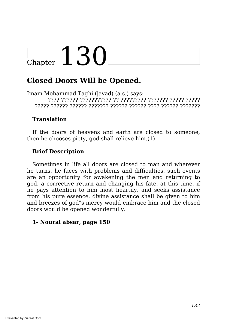## **Closed Doors Will be Opened.**

Imam Mohammad Taghi (javad) (a.s.) says: ???? ?????? ??????????? ?? ????????? ??????? ????? ????? ????? ?????? ?????? ??????? ?????? ?????? ???? ?????? ???????

## **Translation**

If the doors of heavens and earth are closed to someone, then he chooses piety, god shall relieve him.(1)

## **Brief Description**

Sometimes in life all doors are closed to man and wherever he turns, he faces with problems and difficulties. such events are an opportunity for awakening the men and returning to god, a corrective return and changing his fate. at this time, if he pays attention to him most heartily, and seeks assistance from his pure essence, divine assistance shall be given to him and breezes of god"s mercy would embrace him and the closed doors would be opened wonderfully.

## **1- Noural absar, page 150**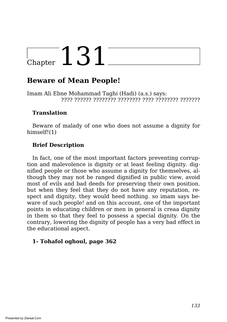## **Beware of Mean People!**

Imam Ali Ebne Mohammad Taghi (Hadi) (a.s.) says: ???? ?????? ???????? ???????? ???? ???????? ???????

### **Translation**

Beware of malady of one who does not assume a dignity for himself!(1)

## **Brief Description**

In fact, one of the most important factors preventing corruption and malevolence is dignity or at least feeling dignity. dignified people or those who assume a dignity for themselves, although they may not be ranged dignified in public view, avoid most of evils and bad deeds for preserving their own position. but when they feel that they do not have any reputation, respect and dignity, they would heed nothing. so imam says beware of such people! and on this account, one of the important points in educating children or men in general is creaa dignity in them so that they feel to possess a special dignity. On the contrary, lowering the dignity of people has a very bad effect in the educational aspect.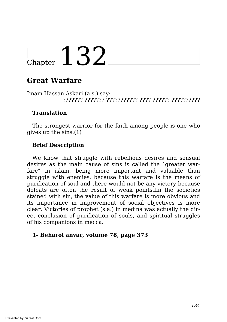## **Great Warfare**

Imam Hassan Askari (a.s.) say: ??????? ??????? ??????????? ???? ?????? ??????????

## **Translation**

The strongest warrior for the faith among people is one who gives up the sins.(1)

## **Brief Description**

We know that struggle with rebellious desires and sensual desires as the main cause of sins is called the `greater warfare" in islam, being more important and valuable than struggle with enemies. because this warfare is the means of purification of soul and there would not be any victory because defeats are often the result of weak points.Iin the societies stained with sin, the value of this warfare is more obvious and its importance in improvement of social objectives is more clear. Victories of prophet (s.a.) in medina was actually the direct conclusion of purification of souls, and spiritual struggles of his companions in mecca.

### **1- Beharol anvar, volume 78, page 373**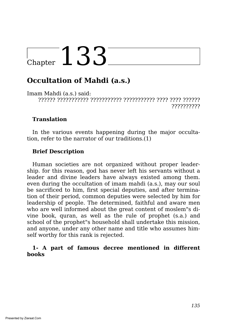## Chapter 133<sup>-</sup>

## **Occultation of Mahdi (a.s.)**

Imam Mahdi (a.s.) said: ?????? ??????????? ??????????? ??????????? ???? ???? ?????? ??????????

### **Translation**

In the various events happening during the major occultation, refer to the narrator of our traditions.(1)

### **Brief Description**

Human societies are not organized without proper leadership. for this reason, god has never left his servants without a leader and divine leaders have always existed among them. even during the occultation of imam mahdi (a.s.), may our soul be sacrificed to him, first special deputies, and after termination of their period, common deputies were selected by him for leadership of people. The determined, faithful and aware men who are well informed about the great content of moslem"s divine book, quran, as well as the rule of prophet (s.a.) and school of the prophet"s household shall undertake this mission, and anyone, under any other name and title who assumes himself worthy for this rank is rejected.

#### **1- A part of famous decree mentioned in different books**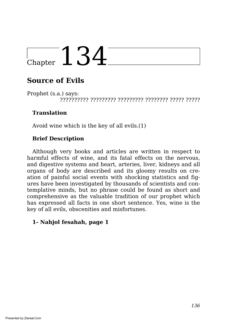## **Source of Evils**

Prophet (s.a.) says: ?????????? ????????? ????????? ???????? ????? ?????

## **Translation**

Avoid wine which is the key of all evils.(1)

## **Brief Description**

Although very books and articles are written in respect to harmful effects of wine, and its fatal effects on the nervous, and digestive systems and heart, arteries, liver, kidneys and all organs of body are described and its gloomy results on creation of painful social events with shocking statistics and figures have been investigated by thousands of scientists and contemplative minds, but no phrase could be found as short and comprehensive as the valuable tradition of our prophet which has expressed all facts in one short sentence. Yes, wine is the key of all evils, obscenities and misfortunes.

## **1- Nahjol fesahah, page 1**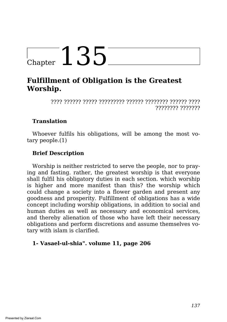## **Fulfillment of Obligation is the Greatest Worship.**

???? ?????? ????? ????????? ?????? ???????? ?????? ???? ???????? ???????

## **Translation**

Whoever fulfils his obligations, will be among the most votary people.(1)

## **Brief Description**

Worship is neither restricted to serve the people, nor to praying and fasting. rather, the greatest worship is that everyone shall fulfil his obligatory duties in each section. which worship is higher and more manifest than this? the worship which could change a society into a flower garden and present any goodness and prosperity. Fulfillment of obligations has a wide concept including worship obligations, in addition to social and human duties as well as necessary and economical services, and thereby alienation of those who have left their necessary obligations and perform discretions and assume themselves votary with islam is clarified.

### **1- Vasael-ul-shia". volume 11, page 206**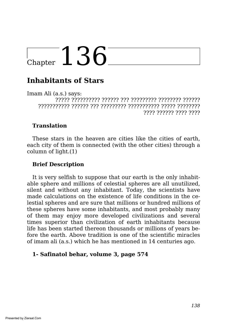## **Inhabitants of Stars**

Imam Ali (a.s.) says: ????? ?????????? ?????? ??? ????????? ???????? ?????? ??????????? ?????? ??? ????????? ??????????? ????? ???????? ???? ?????? ???? ????

## **Translation**

These stars in the heaven are cities like the cities of earth, each city of them is connected (with the other cities) through a column of light.(1)

### **Brief Description**

It is very selfish to suppose that our earth is the only inhabitable sphere and millions of celestial spheres are all unutilized, silent and without any inhabitant. Today, the scientists have made calculations on the existence of life conditions in the celestial spheres and are sure that millions or hundred millions of these spheres have some inhabitants, and most probably many of them may enjoy more developed civilizations and several times superior than civilization of earth inhabitants because life has been started thereon thousands or millions of years before the earth. Above tradition is one of the scientific miracles of imam ali (a.s.) which he has mentioned in 14 centuries ago.

### **1- Safinatol behar, volume 3, page 574**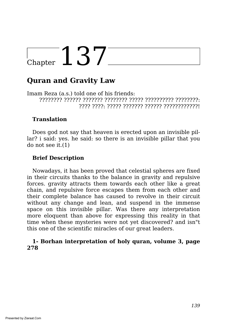## **Quran and Gravity Law**

Imam Reza (a.s.) told one of his friends: ???????? ?????? ??????? ???????? ????? ?????????? ????????: ???? ????: ????? ??????? ?????? ????????????!

#### **Translation**

Does god not say that heaven is erected upon an invisible pillar? i said: yes. he said: so there is an invisible pillar that you do not see it.(1)

#### **Brief Description**

Nowadays, it has been proved that celestial spheres are fixed in their circuits thanks to the balance in gravity and repulsive forces. gravity attracts them towards each other like a great chain, and repulsive force escapes them from each other and their complete balance has caused to revolve in their circuit without any change and lean, and suspend in the immense space on this invisible pillar. Was there any interpretation more eloquent than above for expressing this reality in that time when these mysteries were not yet discovered? and isn"t this one of the scientific miracles of our great leaders.

#### **1- Borhan interpretation of holy quran, volume 3, page 278**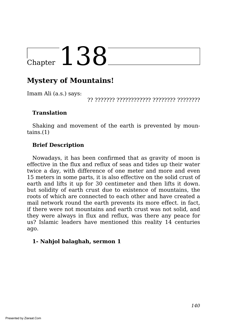## **Mystery of Mountains!**

Imam Ali (a.s.) says:

?? ??????? ???????????? ???????? ????????

#### **Translation**

Shaking and movement of the earth is prevented by moun $tains.(1)$ 

## **Brief Description**

Nowadays, it has been confirmed that as gravity of moon is effective in the flux and reflux of seas and tides up their water twice a day, with difference of one meter and more and even 15 meters in some parts, it is also effective on the solid crust of earth and lifts it up for 30 centimeter and then lifts it down. but solidity of earth crust due to existence of mountains, the roots of which are connected to each other and have created a mail network round the earth prevents its more effect. in fact, if there were not mountains and earth crust was not solid, and they were always in flux and reflux, was there any peace for us? Islamic leaders have mentioned this reality 14 centuries ago.

### **1- Nahjol balaghah, sermon 1**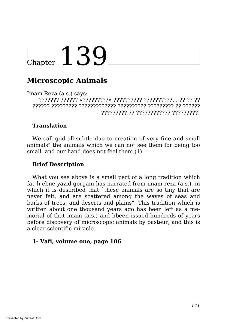## $_{\tiny{\text{Chapter}}}$  139

## **Microscopic Animals**

Imam Reza (a.s.) says: ??????? ?????? «?????????» ?????????? ??????????… ?? ?? ?? ?????? ????????? ????????????? ?????????? ????????? ?? ?????? ????????? ?? ???????????? ?????????!

## **Translation**

We call god all-subtle due to creation of very fine and small animals" the animals which we can not see them for being too small, and our hand does not feel them.(1)

### **Brief Description**

What you see above is a small part of a long tradition which fat"h ebne yazid gorgani has narrated from imam reza (a.s.), in which it is described that `these animals are so tiny that are never felt, and are scattered among the waves of seas and barks of trees, and deserts and plains". This tradition which is written about one thousand years ago has been left as a memorial of that imam (a.s.) and hbeen issued hundreds of years before discovery of microscopic animals by pasteur, and this is a clear scientific miracle.

#### **1- Vafi, volume one, page 106**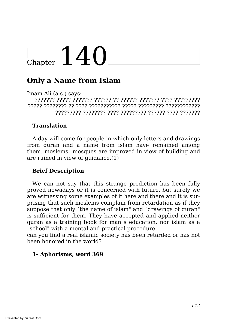## $\frac{1}{2}$ Chapter 140

## **Only a Name from Islam**

Imam Ali (a.s.) says:

??????? ????? ??????? ?????? ?? ?????? ??????? ???? ????????? ????? ???????? ?? ???? ??????????? ????? ????????? ???????????? ????????? ???????? ???? ????????? ?????? ???? ???????

## **Translation**

A day will come for people in which only letters and drawings from quran and a name from islam have remained among them. moslems" mosques are improved in view of building and are ruined in view of guidance.(1)

## **Brief Description**

We can not say that this strange prediction has been fully proved nowadays or it is concerned with future, but surely we are witnessing some examples of it here and there and it is surprising that such moslems complain from retardation as if they suppose that only `the name of islam" and `drawings of quran" is sufficient for them. They have accepted and applied neither quran as a training book for man"s education, nor islam as a `school" with a mental and practical procedure.

can you find a real islamic society has been retarded or has not been honored in the world?

#### **1- Aphorisms, word 369**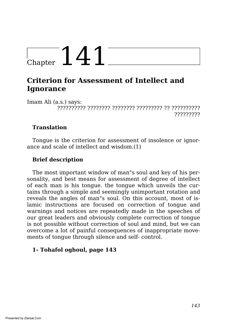## $\frac{1}{2}$ Chapter  $141$

## **Criterion for Assessment of Intellect and Ignorance**

Imam Ali (a.s.) says: ?????????? ???????? ???????? ????????? ?? ?????????? ?????????

## **Translation**

Tongue is the criterion for assessment of insolence or ignorance and scale of intellect and wisdom.(1)

## **Brief description**

The most important window of man"s soul and key of his personality, and best means for assessment of degree of intellect of each man is his tongue. the tongue which unveils the curtains through a simple and seemingly unimportant rotation and reveals the angles of man"s soul. On this account, most of islamic instructions are focused on correction of tongue and warnings and notices are repeatedly made in the speeches of our great leaders and obviously complete correction of tongue is not possible without correction of soul and mind, but we can overcome a lot of painful consequences of inappropriate movements of tongue through silence and self- control.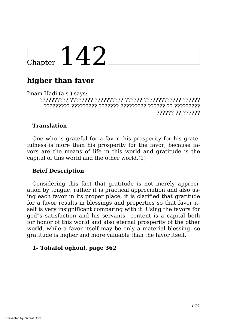## $\sqrt{C_{\text{hapter}}} 142$

## **higher than favor**

Imam Hadi (a.s.) says: ?????????? ???????? ?????????? ?????? ????????????? ?????? ????????? ????????? ??????? ????????? ?????? ?? ????????? ?????? ?? ??????

## **Translation**

One who is grateful for a favor, his prosperity for his gratefulness is more than his prosperity for the favor, because favors are the means of life in this world and gratitude is the capital of this world and the other world.(1)

## **Brief Description**

Considering this fact that gratitude is not merely appreciation by tongue, rather it is practical appreciation and also using each favor in its proper place, it is clarified that gratitude for a favor results in blessings and properties so that favor itself is very insignificant comparing with it. Using the favors for god"s satisfaction and his servants" content is a capital both for honor of this world and also eternal prosperity of the other world, while a favor itself may be only a material blessing. so gratitude is higher and more valuable than the favor itself.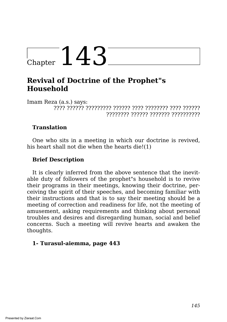# $l_{\text{Chapter}}$  143

## **Revival of Doctrine of the Prophet"s Household**

Imam Reza (a.s.) says: ???? ?????? ????????? ?????? ???? ???????? ???? ?????? ???????? ?????? ??????? ??????????

## **Translation**

One who sits in a meeting in which our doctrine is revived, his heart shall not die when the hearts die!(1)

## **Brief Description**

It is clearly inferred from the above sentence that the inevitable duty of followers of the prophet"s household is to revive their programs in their meetings, knowing their doctrine, perceiving the spirit of their speeches, and becoming familiar with their instructions and that is to say their meeting should be a meeting of correction and readiness for life, not the meeting of amusement, asking requirements and thinking about personal troubles and desires and disregarding human, social and belief concerns. Such a meeting will revive hearts and awaken the thoughts.

## **1- Turasul-aiemma, page 443**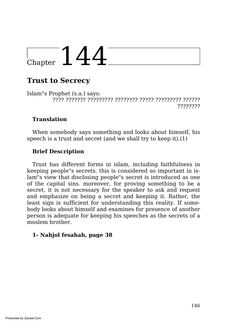# $\frac{1}{2}$  Chapter  $144$

# **Trust to Secrecy**

Islam"s Prophet (s.a.) says: ???? ??????? ????????? ???????? ????? ????????? ?????? ????????

## **Translation**

When somebody says something and looks about himself, his speech is a trust and secret (and we shall try to keep it).(1)

## **Brief Description**

Trust has different forms in islam, including faithfulness in keeping people"s secrets. this is considered so important in islam"s view that disclosing people"s secret is introduced as one of the capital sins. moreover, for proving something to be a secret, it is not necessary for the speaker to ask and request and emphasize on being a secret and keeping it. Rather, the least sign is sufficient for understanding this reality. If somebody looks about himself and examines for presence of another person is adequate for keeping his speeches as the secrets of a moslem brother.

#### **1- Nahjol fesahah, page 38**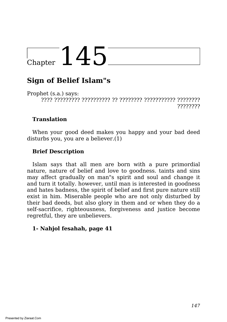# Chapter  $145$

# **Sign of Belief Islam"s**

Prophet (s.a.) says: ???? ????????? ?????????? ?? ???????? ??????????? ???????? ????????

### **Translation**

When your good deed makes you happy and your bad deed disturbs you, you are a believer.(1)

## **Brief Description**

Islam says that all men are born with a pure primordial nature, nature of belief and love to goodness. taints and sins may affect gradually on man"s spirit and soul and change it and turn it totally. however, until man is interested in goodness and hates badness, the spirit of belief and first pure nature still exist in him. Miserable people who are not only disturbed by their bad deeds, but also glory in them and or when they do a self-sacrifice, righteousness, forgiveness and justice become regretful, they are unbelievers.

#### **1- Nahjol fesahah, page 41**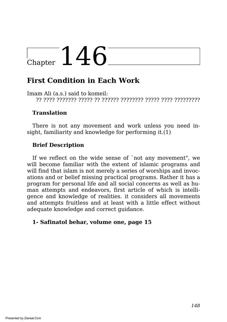# $L_{\text{Chapter}}$  146

# **First Condition in Each Work**

Imam Ali (a.s.) said to komeil: ?? ???? ??????? ????? ?? ?????? ???????? ????? ???? ?????????

### **Translation**

There is not any movement and work unless you need insight, familiarity and knowledge for performing it.(1)

## **Brief Description**

If we reflect on the wide sense of `not any movement", we will become familiar with the extent of islamic programs and will find that islam is not merely a series of worships and invocations and or belief missing practical programs. Rather it has a program for personal life and all social concerns as well as human attempts and endeavors, first article of which is intelligence and knowledge of realities. it considers all movements and attempts fruitless and at least with a little effect without adequate knowledge and correct guidance.

#### **1- Safinatol behar, volume one, page 15**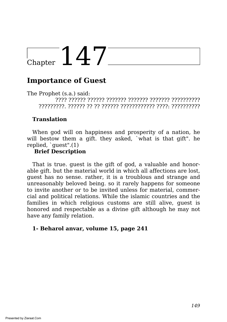# $\frac{1}{2}$ Chapter 147

## **Importance of Guest**

The Prophet (s.a.) said: ???? ?????? ?????? ??????? ??????? ??????? ?????????? ?????????. ?????? ?? ?? ?????? ???????????? ????: ??????????

#### **Translation**

When god will on happiness and prosperity of a nation, he will bestow them a gift. they asked, `what is that gift". he replied, `guest".(1)

#### **Brief Description**

That is true. guest is the gift of god, a valuable and honorable gift. but the material world in which all affections are lost, guest has no sense. rather, it is a troublous and strange and unreasonably beloved being. so it rarely happens for someone to invite another or to be invited unless for material, commercial and political relations. While the islamic countries and the families in which religious customs are still alive, guest is honored and respectable as a divine gift although he may not have any family relation.

#### **1- Beharol anvar, volume 15, page 241**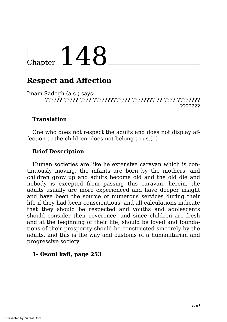# $_{\tiny{\text{Chapter}}}$  148

# **Respect and Affection**

Imam Sadegh (a.s.) says: ?????? ????? ???? ????????????? ???????? ?? ???? ???????? ???????

#### **Translation**

One who does not respect the adults and does not display affection to the children, does not belong to us.(1)

## **Brief Description**

Human societies are like he extensive caravan which is continuously moving. the infants are born by the mothers, and children grow up and adults become old and the old die and nobody is excepted from passing this caravan. herein, the adults usually are more experienced and have deeper insight and have been the source of numerous services during their life if they had been conscientious, and all calculations indicate that they should be respected and youths and adolescents should consider their reverence. and since children are fresh and at the beginning of their life, should be loved and foundations of their prosperity should be constructed sincerely by the adults, and this is the way and customs of a humanitarian and progressive society.

#### **1- Osoul kafi, page 253**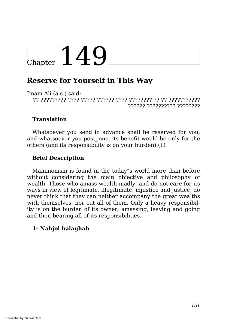# $_{Chapter}$  149

# **Reserve for Yourself in This Way**

Imam Ali (a.s.) said:

?? ????????? ???? ????? ?????? ???? ???????? ?? ?? ??????????? ?????? ?????????? ????????

## **Translation**

Whatsoever you send in advance shall be reserved for you, and whatsoever you postpone, its benefit would be only for the others (and its responsibility is on your burden).(1)

## **Brief Description**

Mammonism is found in the today"s world more than before without considering the main objective and philosophy of wealth. Those who amass wealth madly, and do not care for its ways in view of legitimate, illegitimate, injustice and justice, do never think that they can neither accompany the great wealths with themselves, nor eat all of them. Only a heavy responsibility is on the burden of its owner; amassing, leaving and going and then bearing all of its responsibilities.

#### **1- Nahjol balaghah**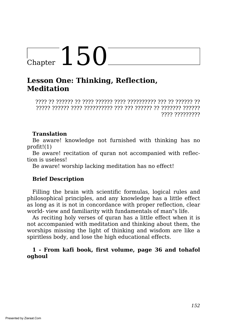# Chapter  $150$

## **Lesson One: Thinking, Reflection, Meditation**

???? ?? ?????? ?? ???? ?????? ???? ?????????? ??? ?? ?????? ?? ????? ?????? ???? ?????????? ??? ??? ?????? ?? ??????? ?????? ???? ?????????

## **Translation**

Be aware! knowledge not furnished with thinking has no profit!(1)

Be aware! recitation of quran not accompanied with reflection is useless!

Be aware! worship lacking meditation has no effect!

## **Brief Description**

Filling the brain with scientific formulas, logical rules and philosophical principles, and any knowledge has a little effect as long as it is not in concordance with proper reflection, clear world- view and familiarity with fundamentals of man"s life.

As reciting holy verses of quran has a little effect when it is not accompanied with meditation and thinking about them, the worships missing the light of thinking and wisdom are like a spiritless body, and lose the high educational effects.

#### **1 - From kafi book, first volume, page 36 and tohafol oghoul**